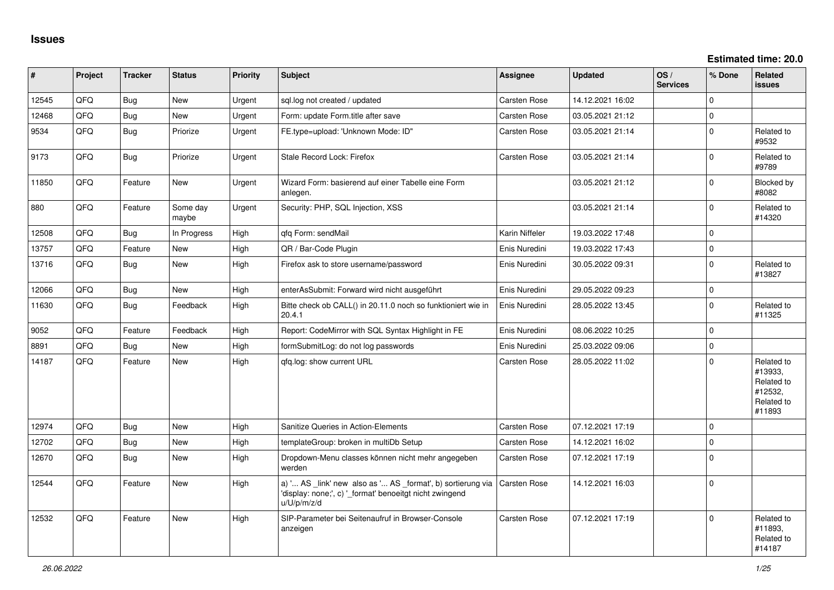**Estimated time: 20.0**

| #     | Project | <b>Tracker</b> | <b>Status</b>     | Priority | <b>Subject</b>                                                                                                                        | Assignee            | <b>Updated</b>   | OS/<br><b>Services</b> | % Done       | <b>Related</b><br><b>issues</b>                                        |
|-------|---------|----------------|-------------------|----------|---------------------------------------------------------------------------------------------------------------------------------------|---------------------|------------------|------------------------|--------------|------------------------------------------------------------------------|
| 12545 | QFQ     | Bug            | <b>New</b>        | Urgent   | sql.log not created / updated                                                                                                         | <b>Carsten Rose</b> | 14.12.2021 16:02 |                        | $\Omega$     |                                                                        |
| 12468 | QFQ     | <b>Bug</b>     | <b>New</b>        | Urgent   | Form: update Form.title after save                                                                                                    | <b>Carsten Rose</b> | 03.05.2021 21:12 |                        | $\mathbf{0}$ |                                                                        |
| 9534  | QFQ     | Bug            | Priorize          | Urgent   | FE.type=upload: 'Unknown Mode: ID"                                                                                                    | <b>Carsten Rose</b> | 03.05.2021 21:14 |                        | $\mathbf 0$  | Related to<br>#9532                                                    |
| 9173  | QFQ     | Bug            | Priorize          | Urgent   | Stale Record Lock: Firefox                                                                                                            | Carsten Rose        | 03.05.2021 21:14 |                        | $\mathbf 0$  | Related to<br>#9789                                                    |
| 11850 | QFQ     | Feature        | New               | Urgent   | Wizard Form: basierend auf einer Tabelle eine Form<br>anlegen.                                                                        |                     | 03.05.2021 21:12 |                        | $\mathbf 0$  | Blocked by<br>#8082                                                    |
| 880   | QFQ     | Feature        | Some day<br>maybe | Urgent   | Security: PHP, SQL Injection, XSS                                                                                                     |                     | 03.05.2021 21:14 |                        | $\mathbf 0$  | Related to<br>#14320                                                   |
| 12508 | QFQ     | <b>Bug</b>     | In Progress       | High     | qfq Form: sendMail                                                                                                                    | Karin Niffeler      | 19.03.2022 17:48 |                        | $\mathbf 0$  |                                                                        |
| 13757 | QFQ     | Feature        | <b>New</b>        | High     | QR / Bar-Code Plugin                                                                                                                  | Enis Nuredini       | 19.03.2022 17:43 |                        | $\mathbf 0$  |                                                                        |
| 13716 | QFQ     | Bug            | <b>New</b>        | High     | Firefox ask to store username/password                                                                                                | Enis Nuredini       | 30.05.2022 09:31 |                        | $\mathbf 0$  | Related to<br>#13827                                                   |
| 12066 | QFQ     | Bug            | <b>New</b>        | High     | enterAsSubmit: Forward wird nicht ausgeführt                                                                                          | Enis Nuredini       | 29.05.2022 09:23 |                        | $\pmb{0}$    |                                                                        |
| 11630 | QFQ     | <b>Bug</b>     | Feedback          | High     | Bitte check ob CALL() in 20.11.0 noch so funktioniert wie in<br>20.4.1                                                                | Enis Nuredini       | 28.05.2022 13:45 |                        | $\mathbf 0$  | Related to<br>#11325                                                   |
| 9052  | QFQ     | Feature        | Feedback          | High     | Report: CodeMirror with SQL Syntax Highlight in FE                                                                                    | Enis Nuredini       | 08.06.2022 10:25 |                        | $\pmb{0}$    |                                                                        |
| 8891  | QFQ     | Bug            | <b>New</b>        | High     | formSubmitLog: do not log passwords                                                                                                   | Enis Nuredini       | 25.03.2022 09:06 |                        | $\mathsf 0$  |                                                                        |
| 14187 | QFQ     | Feature        | <b>New</b>        | High     | gfg.log: show current URL                                                                                                             | <b>Carsten Rose</b> | 28.05.2022 11:02 |                        | $\mathbf 0$  | Related to<br>#13933,<br>Related to<br>#12532,<br>Related to<br>#11893 |
| 12974 | QFQ     | Bug            | <b>New</b>        | High     | Sanitize Queries in Action-Elements                                                                                                   | <b>Carsten Rose</b> | 07.12.2021 17:19 |                        | $\mathbf 0$  |                                                                        |
| 12702 | QFQ     | <b>Bug</b>     | <b>New</b>        | High     | templateGroup: broken in multiDb Setup                                                                                                | Carsten Rose        | 14.12.2021 16:02 |                        | $\pmb{0}$    |                                                                        |
| 12670 | QFQ     | <b>Bug</b>     | New               | High     | Dropdown-Menu classes können nicht mehr angegeben<br>werden                                                                           | <b>Carsten Rose</b> | 07.12.2021 17:19 |                        | $\Omega$     |                                                                        |
| 12544 | QFQ     | Feature        | New               | High     | a) ' AS _link' new also as ' AS _format', b) sortierung via<br>'display: none;', c) '_format' benoeitgt nicht zwingend<br>u/U/p/m/z/d | Carsten Rose        | 14.12.2021 16:03 |                        | $\mathbf 0$  |                                                                        |
| 12532 | QFQ     | Feature        | <b>New</b>        | High     | SIP-Parameter bei Seitenaufruf in Browser-Console<br>anzeigen                                                                         | <b>Carsten Rose</b> | 07.12.2021 17:19 |                        | $\mathbf 0$  | Related to<br>#11893,<br>Related to<br>#14187                          |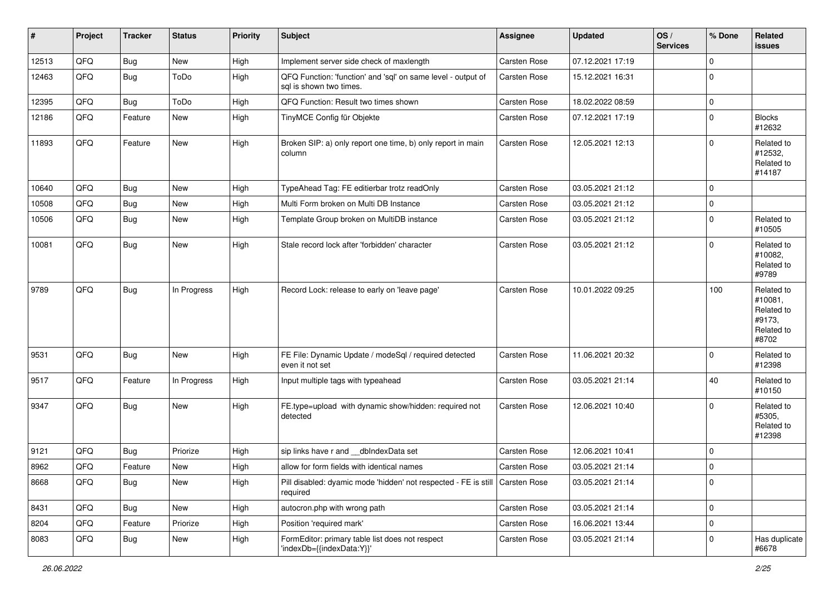| #     | Project | <b>Tracker</b> | <b>Status</b> | <b>Priority</b> | <b>Subject</b>                                                                             | Assignee            | <b>Updated</b>   | OS/<br><b>Services</b> | % Done      | Related<br>issues                                                    |
|-------|---------|----------------|---------------|-----------------|--------------------------------------------------------------------------------------------|---------------------|------------------|------------------------|-------------|----------------------------------------------------------------------|
| 12513 | QFQ     | Bug            | New           | High            | Implement server side check of maxlength                                                   | Carsten Rose        | 07.12.2021 17:19 |                        | $\mathbf 0$ |                                                                      |
| 12463 | QFQ     | Bug            | ToDo          | High            | QFQ Function: 'function' and 'sql' on same level - output of<br>sql is shown two times.    | Carsten Rose        | 15.12.2021 16:31 |                        | $\Omega$    |                                                                      |
| 12395 | QFQ     | Bug            | ToDo          | High            | QFQ Function: Result two times shown                                                       | <b>Carsten Rose</b> | 18.02.2022 08:59 |                        | $\Omega$    |                                                                      |
| 12186 | QFQ     | Feature        | New           | High            | TinyMCE Config für Objekte                                                                 | Carsten Rose        | 07.12.2021 17:19 |                        | $\Omega$    | <b>Blocks</b><br>#12632                                              |
| 11893 | QFQ     | Feature        | New           | High            | Broken SIP: a) only report one time, b) only report in main<br>column                      | Carsten Rose        | 12.05.2021 12:13 |                        | $\Omega$    | Related to<br>#12532,<br>Related to<br>#14187                        |
| 10640 | QFQ     | Bug            | New           | High            | TypeAhead Tag: FE editierbar trotz readOnly                                                | <b>Carsten Rose</b> | 03.05.2021 21:12 |                        | $\Omega$    |                                                                      |
| 10508 | QFQ     | <b>Bug</b>     | New           | High            | Multi Form broken on Multi DB Instance                                                     | Carsten Rose        | 03.05.2021 21:12 |                        | $\mathbf 0$ |                                                                      |
| 10506 | QFQ     | Bug            | New           | High            | Template Group broken on MultiDB instance                                                  | Carsten Rose        | 03.05.2021 21:12 |                        | $\Omega$    | Related to<br>#10505                                                 |
| 10081 | QFQ     | Bug            | New           | High            | Stale record lock after 'forbidden' character                                              | Carsten Rose        | 03.05.2021 21:12 |                        | $\Omega$    | Related to<br>#10082,<br>Related to<br>#9789                         |
| 9789  | QFQ     | Bug            | In Progress   | High            | Record Lock: release to early on 'leave page'                                              | Carsten Rose        | 10.01.2022 09:25 |                        | 100         | Related to<br>#10081,<br>Related to<br>#9173.<br>Related to<br>#8702 |
| 9531  | QFQ     | Bug            | New           | High            | FE File: Dynamic Update / modeSql / required detected<br>even it not set                   | Carsten Rose        | 11.06.2021 20:32 |                        | $\Omega$    | Related to<br>#12398                                                 |
| 9517  | QFQ     | Feature        | In Progress   | High            | Input multiple tags with typeahead                                                         | Carsten Rose        | 03.05.2021 21:14 |                        | 40          | Related to<br>#10150                                                 |
| 9347  | QFQ     | <b>Bug</b>     | New           | High            | FE.type=upload with dynamic show/hidden: required not<br>detected                          | Carsten Rose        | 12.06.2021 10:40 |                        | $\Omega$    | Related to<br>#5305,<br>Related to<br>#12398                         |
| 9121  | QFQ     | <b>Bug</b>     | Priorize      | High            | sip links have r and __dbIndexData set                                                     | Carsten Rose        | 12.06.2021 10:41 |                        | $\Omega$    |                                                                      |
| 8962  | QFQ     | Feature        | New           | High            | allow for form fields with identical names                                                 | Carsten Rose        | 03.05.2021 21:14 |                        | $\Omega$    |                                                                      |
| 8668  | QFQ     | <b>Bug</b>     | New           | High            | Pill disabled: dyamic mode 'hidden' not respected - FE is still   Carsten Rose<br>required |                     | 03.05.2021 21:14 |                        | 0           |                                                                      |
| 8431  | QFQ     | <b>Bug</b>     | New           | High            | autocron.php with wrong path                                                               | Carsten Rose        | 03.05.2021 21:14 |                        | 0           |                                                                      |
| 8204  | QFQ     | Feature        | Priorize      | High            | Position 'required mark'                                                                   | Carsten Rose        | 16.06.2021 13:44 |                        | 0           |                                                                      |
| 8083  | QFQ     | <b>Bug</b>     | New           | High            | FormEditor: primary table list does not respect<br>'indexDb={{indexData:Y}}'               | Carsten Rose        | 03.05.2021 21:14 |                        | 0           | Has duplicate<br>#6678                                               |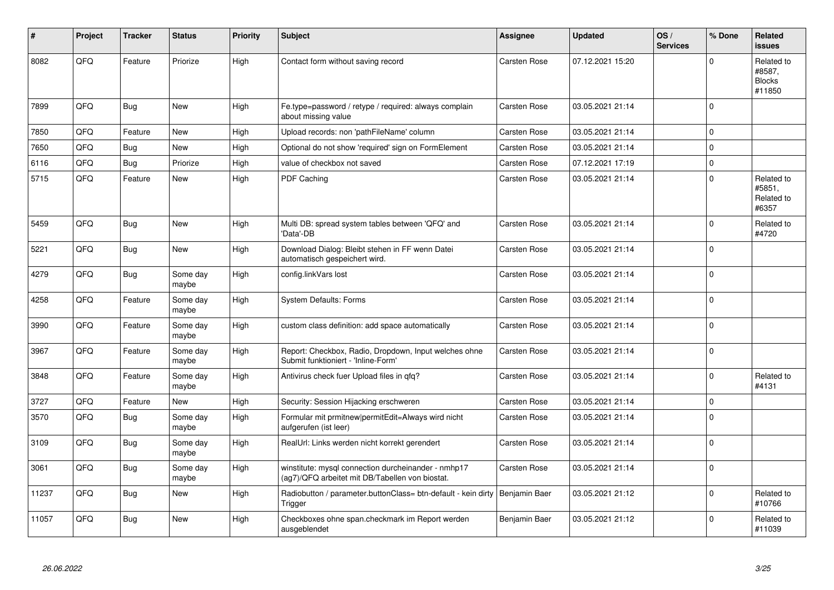| #     | Project | <b>Tracker</b> | <b>Status</b>     | <b>Priority</b> | <b>Subject</b>                                                                                         | <b>Assignee</b>     | <b>Updated</b>   | OS/<br><b>Services</b> | % Done      | Related<br><b>issues</b>                        |
|-------|---------|----------------|-------------------|-----------------|--------------------------------------------------------------------------------------------------------|---------------------|------------------|------------------------|-------------|-------------------------------------------------|
| 8082  | QFQ     | Feature        | Priorize          | High            | Contact form without saving record                                                                     | <b>Carsten Rose</b> | 07.12.2021 15:20 |                        | $\Omega$    | Related to<br>#8587,<br><b>Blocks</b><br>#11850 |
| 7899  | QFQ     | <b>Bug</b>     | New               | High            | Fe.type=password / retype / required: always complain<br>about missing value                           | Carsten Rose        | 03.05.2021 21:14 |                        | 0           |                                                 |
| 7850  | QFQ     | Feature        | New               | High            | Upload records: non 'pathFileName' column                                                              | Carsten Rose        | 03.05.2021 21:14 |                        | $\Omega$    |                                                 |
| 7650  | QFQ     | Bug            | <b>New</b>        | High            | Optional do not show 'required' sign on FormElement                                                    | <b>Carsten Rose</b> | 03.05.2021 21:14 |                        | $\mathbf 0$ |                                                 |
| 6116  | QFQ     | Bug            | Priorize          | High            | value of checkbox not saved                                                                            | Carsten Rose        | 07.12.2021 17:19 |                        | $\Omega$    |                                                 |
| 5715  | QFQ     | Feature        | <b>New</b>        | High            | PDF Caching                                                                                            | Carsten Rose        | 03.05.2021 21:14 |                        | $\Omega$    | Related to<br>#5851.<br>Related to<br>#6357     |
| 5459  | QFQ     | Bug            | New               | High            | Multi DB: spread system tables between 'QFQ' and<br>'Data'-DB                                          | Carsten Rose        | 03.05.2021 21:14 |                        | $\Omega$    | Related to<br>#4720                             |
| 5221  | QFQ     | Bug            | New               | High            | Download Dialog: Bleibt stehen in FF wenn Datei<br>automatisch gespeichert wird.                       | Carsten Rose        | 03.05.2021 21:14 |                        | $\mathbf 0$ |                                                 |
| 4279  | QFQ     | <b>Bug</b>     | Some day<br>maybe | High            | config.linkVars lost                                                                                   | Carsten Rose        | 03.05.2021 21:14 |                        | $\Omega$    |                                                 |
| 4258  | QFQ     | Feature        | Some day<br>maybe | High            | <b>System Defaults: Forms</b>                                                                          | Carsten Rose        | 03.05.2021 21:14 |                        | $\Omega$    |                                                 |
| 3990  | QFQ     | Feature        | Some day<br>maybe | High            | custom class definition: add space automatically                                                       | Carsten Rose        | 03.05.2021 21:14 |                        | $\Omega$    |                                                 |
| 3967  | QFQ     | Feature        | Some day<br>maybe | High            | Report: Checkbox, Radio, Dropdown, Input welches ohne<br>Submit funktioniert - 'Inline-Form'           | Carsten Rose        | 03.05.2021 21:14 |                        | $\pmb{0}$   |                                                 |
| 3848  | QFQ     | Feature        | Some day<br>maybe | High            | Antivirus check fuer Upload files in qfq?                                                              | Carsten Rose        | 03.05.2021 21:14 |                        | $\Omega$    | Related to<br>#4131                             |
| 3727  | QFQ     | Feature        | <b>New</b>        | High            | Security: Session Hijacking erschweren                                                                 | Carsten Rose        | 03.05.2021 21:14 |                        | $\Omega$    |                                                 |
| 3570  | QFQ     | <b>Bug</b>     | Some day<br>maybe | High            | Formular mit prmitnew   permitEdit=Always wird nicht<br>aufgerufen (ist leer)                          | Carsten Rose        | 03.05.2021 21:14 |                        | $\Omega$    |                                                 |
| 3109  | QFQ     | <b>Bug</b>     | Some day<br>maybe | High            | RealUrl: Links werden nicht korrekt gerendert                                                          | Carsten Rose        | 03.05.2021 21:14 |                        | $\Omega$    |                                                 |
| 3061  | QFQ     | <b>Bug</b>     | Some day<br>maybe | High            | winstitute: mysql connection durcheinander - nmhp17<br>(ag7)/QFQ arbeitet mit DB/Tabellen von biostat. | Carsten Rose        | 03.05.2021 21:14 |                        | $\Omega$    |                                                 |
| 11237 | QFQ     | <b>Bug</b>     | New               | High            | Radiobutton / parameter.buttonClass= btn-default - kein dirty<br>Trigger                               | Benjamin Baer       | 03.05.2021 21:12 |                        | $\Omega$    | Related to<br>#10766                            |
| 11057 | QFQ     | Bug            | <b>New</b>        | High            | Checkboxes ohne span.checkmark im Report werden<br>ausgeblendet                                        | Benjamin Baer       | 03.05.2021 21:12 |                        | $\Omega$    | Related to<br>#11039                            |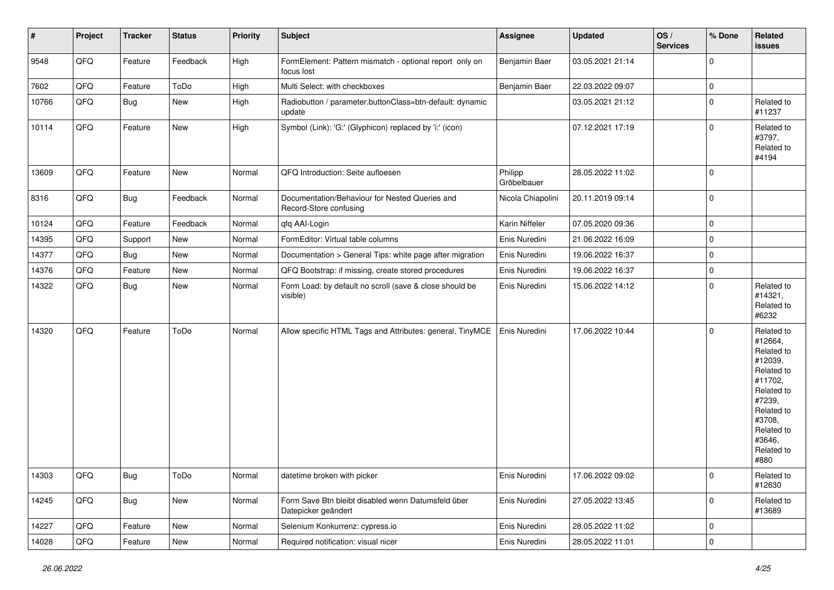| $\sharp$ | Project | <b>Tracker</b> | <b>Status</b> | <b>Priority</b> | <b>Subject</b>                                                            | <b>Assignee</b>        | <b>Updated</b>   | OS/<br><b>Services</b> | % Done      | Related<br><b>issues</b>                                                                                                                                              |
|----------|---------|----------------|---------------|-----------------|---------------------------------------------------------------------------|------------------------|------------------|------------------------|-------------|-----------------------------------------------------------------------------------------------------------------------------------------------------------------------|
| 9548     | QFQ     | Feature        | Feedback      | High            | FormElement: Pattern mismatch - optional report only on<br>focus lost     | Benjamin Baer          | 03.05.2021 21:14 |                        | $\Omega$    |                                                                                                                                                                       |
| 7602     | QFQ     | Feature        | ToDo          | High            | Multi Select: with checkboxes                                             | Benjamin Baer          | 22.03.2022 09:07 |                        | $\mathbf 0$ |                                                                                                                                                                       |
| 10766    | QFQ     | Bug            | New           | High            | Radiobutton / parameter.buttonClass=btn-default: dynamic<br>update        |                        | 03.05.2021 21:12 |                        | $\Omega$    | Related to<br>#11237                                                                                                                                                  |
| 10114    | QFQ     | Feature        | New           | High            | Symbol (Link): 'G:' (Glyphicon) replaced by 'i:' (icon)                   |                        | 07.12.2021 17:19 |                        | $\Omega$    | Related to<br>#3797,<br>Related to<br>#4194                                                                                                                           |
| 13609    | QFQ     | Feature        | New           | Normal          | QFQ Introduction: Seite aufloesen                                         | Philipp<br>Gröbelbauer | 28.05.2022 11:02 |                        | $\Omega$    |                                                                                                                                                                       |
| 8316     | QFQ     | Bug            | Feedback      | Normal          | Documentation/Behaviour for Nested Queries and<br>Record-Store confusing  | Nicola Chiapolini      | 20.11.2019 09:14 |                        | $\Omega$    |                                                                                                                                                                       |
| 10124    | QFQ     | Feature        | Feedback      | Normal          | qfq AAI-Login                                                             | Karin Niffeler         | 07.05.2020 09:36 |                        | $\mathbf 0$ |                                                                                                                                                                       |
| 14395    | QFQ     | Support        | New           | Normal          | FormEditor: Virtual table columns                                         | Enis Nuredini          | 21.06.2022 16:09 |                        | $\Omega$    |                                                                                                                                                                       |
| 14377    | QFQ     | Bug            | New           | Normal          | Documentation > General Tips: white page after migration                  | Enis Nuredini          | 19.06.2022 16:37 |                        | $\mathbf 0$ |                                                                                                                                                                       |
| 14376    | QFQ     | Feature        | New           | Normal          | QFQ Bootstrap: if missing, create stored procedures                       | Enis Nuredini          | 19.06.2022 16:37 |                        | $\Omega$    |                                                                                                                                                                       |
| 14322    | QFQ     | Bug            | New           | Normal          | Form Load: by default no scroll (save & close should be<br>visible)       | Enis Nuredini          | 15.06.2022 14:12 |                        | $\Omega$    | Related to<br>#14321,<br>Related to<br>#6232                                                                                                                          |
| 14320    | QFQ     | Feature        | ToDo          | Normal          | Allow specific HTML Tags and Attributes: general, TinyMCE                 | Enis Nuredini          | 17.06.2022 10:44 |                        | $\Omega$    | Related to<br>#12664,<br>Related to<br>#12039,<br>Related to<br>#11702,<br>Related to<br>#7239,<br>Related to<br>#3708,<br>Related to<br>#3646,<br>Related to<br>#880 |
| 14303    | QFQ     | <b>Bug</b>     | ToDo          | Normal          | datetime broken with picker                                               | Enis Nuredini          | 17.06.2022 09:02 |                        | 0           | Related to<br>#12630                                                                                                                                                  |
| 14245    | QFQ     | Bug            | New           | Normal          | Form Save Btn bleibt disabled wenn Datumsfeld über<br>Datepicker geändert | Enis Nuredini          | 27.05.2022 13:45 |                        | $\mathbf 0$ | Related to<br>#13689                                                                                                                                                  |
| 14227    | QFQ     | Feature        | New           | Normal          | Selenium Konkurrenz: cypress.io                                           | Enis Nuredini          | 28.05.2022 11:02 |                        | 0           |                                                                                                                                                                       |
| 14028    | QFQ     | Feature        | New           | Normal          | Required notification: visual nicer                                       | Enis Nuredini          | 28.05.2022 11:01 |                        | $\pmb{0}$   |                                                                                                                                                                       |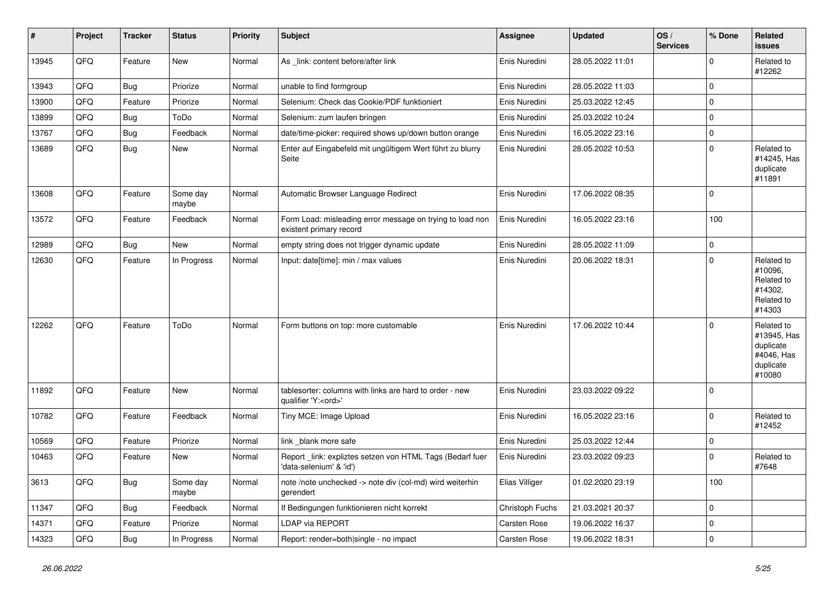| $\vert$ # | Project | <b>Tracker</b> | <b>Status</b>     | <b>Priority</b> | <b>Subject</b>                                                                        | <b>Assignee</b> | <b>Updated</b>   | OS/<br><b>Services</b> | % Done      | Related<br><b>issues</b>                                                    |
|-----------|---------|----------------|-------------------|-----------------|---------------------------------------------------------------------------------------|-----------------|------------------|------------------------|-------------|-----------------------------------------------------------------------------|
| 13945     | QFQ     | Feature        | <b>New</b>        | Normal          | As _link: content before/after link                                                   | Enis Nuredini   | 28.05.2022 11:01 |                        | $\Omega$    | Related to<br>#12262                                                        |
| 13943     | QFQ     | Bug            | Priorize          | Normal          | unable to find formgroup                                                              | Enis Nuredini   | 28.05.2022 11:03 |                        | 0           |                                                                             |
| 13900     | QFQ     | Feature        | Priorize          | Normal          | Selenium: Check das Cookie/PDF funktioniert                                           | Enis Nuredini   | 25.03.2022 12:45 |                        | $\Omega$    |                                                                             |
| 13899     | QFQ     | <b>Bug</b>     | ToDo              | Normal          | Selenium: zum laufen bringen                                                          | Enis Nuredini   | 25.03.2022 10:24 |                        | $\mathbf 0$ |                                                                             |
| 13767     | QFQ     | Bug            | Feedback          | Normal          | date/time-picker: required shows up/down button orange                                | Enis Nuredini   | 16.05.2022 23:16 |                        | $\Omega$    |                                                                             |
| 13689     | QFQ     | Bug            | <b>New</b>        | Normal          | Enter auf Eingabefeld mit ungültigem Wert führt zu blurry<br>Seite                    | Enis Nuredini   | 28.05.2022 10:53 |                        | $\mathbf 0$ | Related to<br>#14245, Has<br>duplicate<br>#11891                            |
| 13608     | QFQ     | Feature        | Some day<br>maybe | Normal          | Automatic Browser Language Redirect                                                   | Enis Nuredini   | 17.06.2022 08:35 |                        | $\Omega$    |                                                                             |
| 13572     | QFQ     | Feature        | Feedback          | Normal          | Form Load: misleading error message on trying to load non<br>existent primary record  | Enis Nuredini   | 16.05.2022 23:16 |                        | 100         |                                                                             |
| 12989     | QFQ     | Bug            | New               | Normal          | empty string does not trigger dynamic update                                          | Enis Nuredini   | 28.05.2022 11:09 |                        | $\mathbf 0$ |                                                                             |
| 12630     | QFQ     | Feature        | In Progress       | Normal          | Input: date[time]: min / max values                                                   | Enis Nuredini   | 20.06.2022 18:31 |                        | $\Omega$    | Related to<br>#10096,<br>Related to<br>#14302,<br>Related to<br>#14303      |
| 12262     | QFQ     | Feature        | ToDo              | Normal          | Form buttons on top: more customable                                                  | Enis Nuredini   | 17.06.2022 10:44 |                        | $\Omega$    | Related to<br>#13945, Has<br>duplicate<br>#4046, Has<br>duplicate<br>#10080 |
| 11892     | QFQ     | Feature        | New               | Normal          | tablesorter: columns with links are hard to order - new<br>qualifier 'Y: <ord>'</ord> | Enis Nuredini   | 23.03.2022 09:22 |                        | $\Omega$    |                                                                             |
| 10782     | QFQ     | Feature        | Feedback          | Normal          | Tiny MCE: Image Upload                                                                | Enis Nuredini   | 16.05.2022 23:16 |                        | $\Omega$    | Related to<br>#12452                                                        |
| 10569     | QFQ     | Feature        | Priorize          | Normal          | link _blank more safe                                                                 | Enis Nuredini   | 25.03.2022 12:44 |                        | $\Omega$    |                                                                             |
| 10463     | QFQ     | Feature        | <b>New</b>        | Normal          | Report_link: expliztes setzen von HTML Tags (Bedarf fuer<br>'data-selenium' & 'id')   | Enis Nuredini   | 23.03.2022 09:23 |                        | $\Omega$    | Related to<br>#7648                                                         |
| 3613      | QFQ     | Bug            | Some day<br>maybe | Normal          | note /note unchecked -> note div (col-md) wird weiterhin<br>gerendert                 | Elias Villiger  | 01.02.2020 23:19 |                        | 100         |                                                                             |
| 11347     | QFQ     | <b>Bug</b>     | Feedback          | Normal          | If Bedingungen funktionieren nicht korrekt                                            | Christoph Fuchs | 21.03.2021 20:37 |                        | $\Omega$    |                                                                             |
| 14371     | QFQ     | Feature        | Priorize          | Normal          | <b>LDAP via REPORT</b>                                                                | Carsten Rose    | 19.06.2022 16:37 |                        | 0           |                                                                             |
| 14323     | QFQ     | <b>Bug</b>     | In Progress       | Normal          | Report: render=both single - no impact                                                | Carsten Rose    | 19.06.2022 18:31 |                        | $\Omega$    |                                                                             |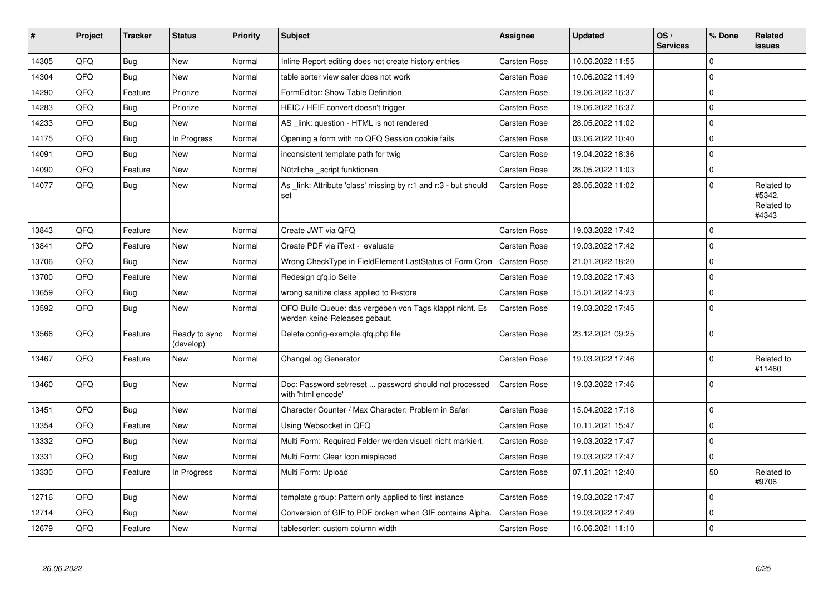| $\vert$ # | Project | <b>Tracker</b> | <b>Status</b>              | <b>Priority</b> | <b>Subject</b>                                                                           | Assignee            | <b>Updated</b>   | OS/<br><b>Services</b> | % Done      | Related<br><b>issues</b>                    |
|-----------|---------|----------------|----------------------------|-----------------|------------------------------------------------------------------------------------------|---------------------|------------------|------------------------|-------------|---------------------------------------------|
| 14305     | QFQ     | Bug            | New                        | Normal          | Inline Report editing does not create history entries                                    | Carsten Rose        | 10.06.2022 11:55 |                        | $\mathbf 0$ |                                             |
| 14304     | QFQ     | <b>Bug</b>     | <b>New</b>                 | Normal          | table sorter view safer does not work                                                    | Carsten Rose        | 10.06.2022 11:49 |                        | $\Omega$    |                                             |
| 14290     | QFQ     | Feature        | Priorize                   | Normal          | FormEditor: Show Table Definition                                                        | Carsten Rose        | 19.06.2022 16:37 |                        | $\mathbf 0$ |                                             |
| 14283     | QFQ     | Bug            | Priorize                   | Normal          | HEIC / HEIF convert doesn't trigger                                                      | <b>Carsten Rose</b> | 19.06.2022 16:37 |                        | $\mathbf 0$ |                                             |
| 14233     | QFQ     | <b>Bug</b>     | New                        | Normal          | AS _link: question - HTML is not rendered                                                | <b>Carsten Rose</b> | 28.05.2022 11:02 |                        | $\Omega$    |                                             |
| 14175     | QFQ     | <b>Bug</b>     | In Progress                | Normal          | Opening a form with no QFQ Session cookie fails                                          | Carsten Rose        | 03.06.2022 10:40 |                        | $\mathbf 0$ |                                             |
| 14091     | QFQ     | Bug            | <b>New</b>                 | Normal          | inconsistent template path for twig                                                      | <b>Carsten Rose</b> | 19.04.2022 18:36 |                        | $\Omega$    |                                             |
| 14090     | QFQ     | Feature        | New                        | Normal          | Nützliche script funktionen                                                              | Carsten Rose        | 28.05.2022 11:03 |                        | $\mathbf 0$ |                                             |
| 14077     | QFQ     | Bug            | New                        | Normal          | As link: Attribute 'class' missing by r:1 and r:3 - but should<br>set                    | Carsten Rose        | 28.05.2022 11:02 |                        | $\mathbf 0$ | Related to<br>#5342,<br>Related to<br>#4343 |
| 13843     | QFQ     | Feature        | <b>New</b>                 | Normal          | Create JWT via QFQ                                                                       | <b>Carsten Rose</b> | 19.03.2022 17:42 |                        | $\mathbf 0$ |                                             |
| 13841     | QFQ     | Feature        | New                        | Normal          | Create PDF via iText - evaluate                                                          | <b>Carsten Rose</b> | 19.03.2022 17:42 |                        | $\Omega$    |                                             |
| 13706     | QFQ     | <b>Bug</b>     | <b>New</b>                 | Normal          | Wrong CheckType in FieldElement LastStatus of Form Cron                                  | Carsten Rose        | 21.01.2022 18:20 |                        | $\Omega$    |                                             |
| 13700     | QFQ     | Feature        | <b>New</b>                 | Normal          | Redesign gfg.io Seite                                                                    | <b>Carsten Rose</b> | 19.03.2022 17:43 |                        | $\mathbf 0$ |                                             |
| 13659     | QFQ     | Bug            | New                        | Normal          | wrong sanitize class applied to R-store                                                  | Carsten Rose        | 15.01.2022 14:23 |                        | $\mathbf 0$ |                                             |
| 13592     | QFQ     | <b>Bug</b>     | New                        | Normal          | QFQ Build Queue: das vergeben von Tags klappt nicht. Es<br>werden keine Releases gebaut. | Carsten Rose        | 19.03.2022 17:45 |                        | $\mathbf 0$ |                                             |
| 13566     | QFQ     | Feature        | Ready to sync<br>(develop) | Normal          | Delete config-example.gfg.php file                                                       | Carsten Rose        | 23.12.2021 09:25 |                        | $\Omega$    |                                             |
| 13467     | QFQ     | Feature        | New                        | Normal          | ChangeLog Generator                                                                      | Carsten Rose        | 19.03.2022 17:46 |                        | $\Omega$    | Related to<br>#11460                        |
| 13460     | QFQ     | <b>Bug</b>     | New                        | Normal          | Doc: Password set/reset  password should not processed<br>with 'html encode'             | Carsten Rose        | 19.03.2022 17:46 |                        | $\Omega$    |                                             |
| 13451     | QFQ     | Bug            | New                        | Normal          | Character Counter / Max Character: Problem in Safari                                     | Carsten Rose        | 15.04.2022 17:18 |                        | $\mathbf 0$ |                                             |
| 13354     | QFQ     | Feature        | New                        | Normal          | Using Websocket in QFQ                                                                   | Carsten Rose        | 10.11.2021 15:47 |                        | $\Omega$    |                                             |
| 13332     | QFQ     | Bug            | New                        | Normal          | Multi Form: Required Felder werden visuell nicht markiert.                               | Carsten Rose        | 19.03.2022 17:47 |                        | $\mathbf 0$ |                                             |
| 13331     | QFQ     | <b>Bug</b>     | New                        | Normal          | Multi Form: Clear Icon misplaced                                                         | Carsten Rose        | 19.03.2022 17:47 |                        | $\mathbf 0$ |                                             |
| 13330     | QFQ     | Feature        | In Progress                | Normal          | Multi Form: Upload                                                                       | Carsten Rose        | 07.11.2021 12:40 |                        | 50          | Related to<br>#9706                         |
| 12716     | QFQ     | Bug            | New                        | Normal          | template group: Pattern only applied to first instance                                   | Carsten Rose        | 19.03.2022 17:47 |                        | $\mathbf 0$ |                                             |
| 12714     | QFQ     | Bug            | New                        | Normal          | Conversion of GIF to PDF broken when GIF contains Alpha.                                 | Carsten Rose        | 19.03.2022 17:49 |                        | $\mathbf 0$ |                                             |
| 12679     | QFQ     | Feature        | New                        | Normal          | tablesorter: custom column width                                                         | <b>Carsten Rose</b> | 16.06.2021 11:10 |                        | $\Omega$    |                                             |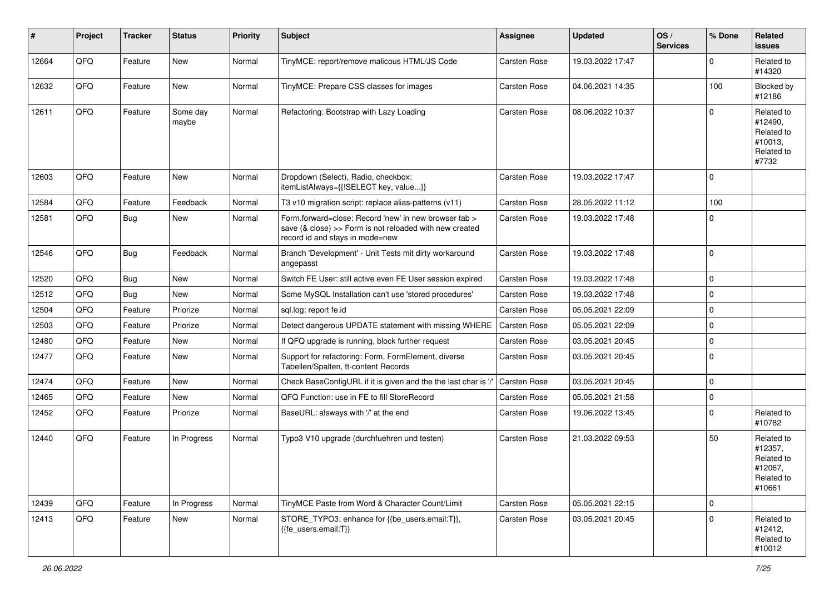| $\#$  | Project | <b>Tracker</b> | <b>Status</b>     | <b>Priority</b> | <b>Subject</b>                                                                                                                                      | <b>Assignee</b>     | <b>Updated</b>   | OS/<br><b>Services</b> | % Done   | Related<br><b>issues</b>                                               |
|-------|---------|----------------|-------------------|-----------------|-----------------------------------------------------------------------------------------------------------------------------------------------------|---------------------|------------------|------------------------|----------|------------------------------------------------------------------------|
| 12664 | QFQ     | Feature        | New               | Normal          | TinyMCE: report/remove malicous HTML/JS Code                                                                                                        | Carsten Rose        | 19.03.2022 17:47 |                        | $\Omega$ | Related to<br>#14320                                                   |
| 12632 | QFQ     | Feature        | New               | Normal          | TinyMCE: Prepare CSS classes for images                                                                                                             | Carsten Rose        | 04.06.2021 14:35 |                        | 100      | Blocked by<br>#12186                                                   |
| 12611 | QFQ     | Feature        | Some day<br>maybe | Normal          | Refactoring: Bootstrap with Lazy Loading                                                                                                            | Carsten Rose        | 08.06.2022 10:37 |                        | $\Omega$ | Related to<br>#12490,<br>Related to<br>#10013,<br>Related to<br>#7732  |
| 12603 | QFQ     | Feature        | New               | Normal          | Dropdown (Select), Radio, checkbox:<br>itemListAlways={{!SELECT key, value}}                                                                        | Carsten Rose        | 19.03.2022 17:47 |                        | $\Omega$ |                                                                        |
| 12584 | QFQ     | Feature        | Feedback          | Normal          | T3 v10 migration script: replace alias-patterns (v11)                                                                                               | Carsten Rose        | 28.05.2022 11:12 |                        | 100      |                                                                        |
| 12581 | QFQ     | <b>Bug</b>     | New               | Normal          | Form.forward=close: Record 'new' in new browser tab ><br>save (& close) >> Form is not reloaded with new created<br>record id and stays in mode=new | Carsten Rose        | 19.03.2022 17:48 |                        | $\Omega$ |                                                                        |
| 12546 | QFQ     | Bug            | Feedback          | Normal          | Branch 'Development' - Unit Tests mit dirty workaround<br>angepasst                                                                                 | Carsten Rose        | 19.03.2022 17:48 |                        | $\Omega$ |                                                                        |
| 12520 | QFQ     | <b>Bug</b>     | New               | Normal          | Switch FE User: still active even FE User session expired                                                                                           | Carsten Rose        | 19.03.2022 17:48 |                        | $\Omega$ |                                                                        |
| 12512 | QFQ     | <b>Bug</b>     | New               | Normal          | Some MySQL Installation can't use 'stored procedures'                                                                                               | Carsten Rose        | 19.03.2022 17:48 |                        | $\Omega$ |                                                                        |
| 12504 | QFQ     | Feature        | Priorize          | Normal          | sql.log: report fe.id                                                                                                                               | Carsten Rose        | 05.05.2021 22:09 |                        | $\Omega$ |                                                                        |
| 12503 | QFQ     | Feature        | Priorize          | Normal          | Detect dangerous UPDATE statement with missing WHERE                                                                                                | <b>Carsten Rose</b> | 05.05.2021 22:09 |                        | $\Omega$ |                                                                        |
| 12480 | QFQ     | Feature        | New               | Normal          | If QFQ upgrade is running, block further request                                                                                                    | <b>Carsten Rose</b> | 03.05.2021 20:45 |                        | $\Omega$ |                                                                        |
| 12477 | QFQ     | Feature        | New               | Normal          | Support for refactoring: Form, FormElement, diverse<br>Tabellen/Spalten, tt-content Records                                                         | Carsten Rose        | 03.05.2021 20:45 |                        | $\Omega$ |                                                                        |
| 12474 | QFQ     | Feature        | <b>New</b>        | Normal          | Check BaseConfigURL if it is given and the the last char is                                                                                         | Carsten Rose        | 03.05.2021 20:45 |                        | $\Omega$ |                                                                        |
| 12465 | QFQ     | Feature        | New               | Normal          | QFQ Function: use in FE to fill StoreRecord                                                                                                         | Carsten Rose        | 05.05.2021 21:58 |                        | $\Omega$ |                                                                        |
| 12452 | QFQ     | Feature        | Priorize          | Normal          | BaseURL: alsways with '/' at the end                                                                                                                | Carsten Rose        | 19.06.2022 13:45 |                        | $\Omega$ | Related to<br>#10782                                                   |
| 12440 | QFQ     | Feature        | In Progress       | Normal          | Typo3 V10 upgrade (durchfuehren und testen)                                                                                                         | Carsten Rose        | 21.03.2022 09:53 |                        | 50       | Related to<br>#12357,<br>Related to<br>#12067,<br>Related to<br>#10661 |
| 12439 | QFQ     | Feature        | In Progress       | Normal          | TinyMCE Paste from Word & Character Count/Limit                                                                                                     | Carsten Rose        | 05.05.2021 22:15 |                        | 0        |                                                                        |
| 12413 | QFQ     | Feature        | New               | Normal          | STORE_TYPO3: enhance for {{be_users.email:T}},<br>{{fe_users.email:T}}                                                                              | Carsten Rose        | 03.05.2021 20:45 |                        | $\Omega$ | Related to<br>#12412,<br>Related to<br>#10012                          |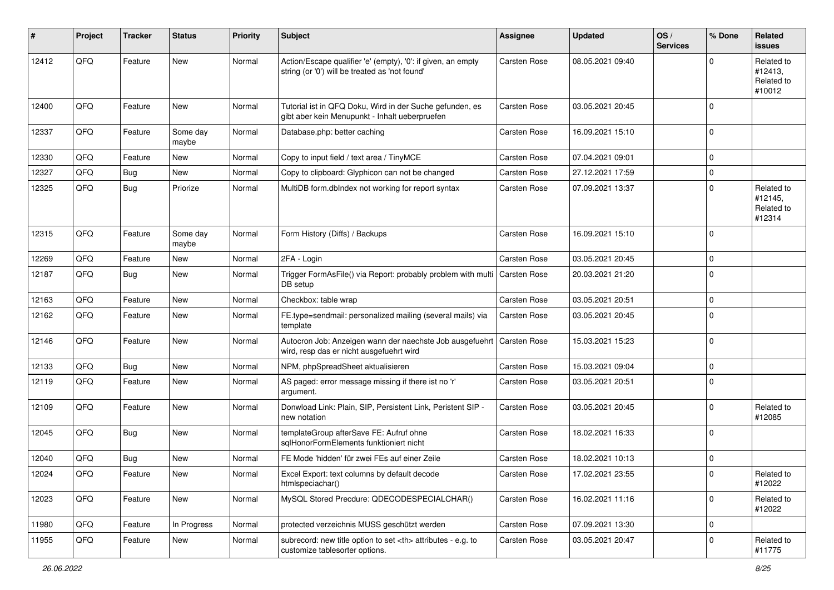| #     | Project | <b>Tracker</b> | <b>Status</b>     | <b>Priority</b> | <b>Subject</b>                                                                                                 | <b>Assignee</b>                                        | <b>Updated</b>   | OS/<br><b>Services</b> | % Done      | Related<br><b>issues</b>                      |                      |
|-------|---------|----------------|-------------------|-----------------|----------------------------------------------------------------------------------------------------------------|--------------------------------------------------------|------------------|------------------------|-------------|-----------------------------------------------|----------------------|
| 12412 | QFQ     | Feature        | New               | Normal          | Action/Escape qualifier 'e' (empty), '0': if given, an empty<br>string (or '0') will be treated as 'not found' | <b>Carsten Rose</b>                                    | 08.05.2021 09:40 |                        | $\Omega$    | Related to<br>#12413,<br>Related to<br>#10012 |                      |
| 12400 | QFQ     | Feature        | New               | Normal          | Tutorial ist in QFQ Doku, Wird in der Suche gefunden, es<br>gibt aber kein Menupunkt - Inhalt ueberpruefen     | Carsten Rose                                           | 03.05.2021 20:45 |                        | $\Omega$    |                                               |                      |
| 12337 | QFQ     | Feature        | Some day<br>maybe | Normal          | Database.php: better caching                                                                                   | Carsten Rose                                           | 16.09.2021 15:10 |                        | $\Omega$    |                                               |                      |
| 12330 | QFQ     | Feature        | New               | Normal          | Copy to input field / text area / TinyMCE                                                                      | <b>Carsten Rose</b>                                    | 07.04.2021 09:01 |                        | $\Omega$    |                                               |                      |
| 12327 | QFQ     | <b>Bug</b>     | New               | Normal          | Copy to clipboard: Glyphicon can not be changed                                                                | Carsten Rose                                           | 27.12.2021 17:59 |                        | $\mathbf 0$ |                                               |                      |
| 12325 | QFQ     | <b>Bug</b>     | Priorize          | Normal          | MultiDB form.dblndex not working for report syntax                                                             | <b>Carsten Rose</b>                                    | 07.09.2021 13:37 |                        | $\Omega$    | Related to<br>#12145,<br>Related to<br>#12314 |                      |
| 12315 | QFQ     | Feature        | Some day<br>maybe | Normal          | Form History (Diffs) / Backups                                                                                 | Carsten Rose                                           | 16.09.2021 15:10 |                        | $\Omega$    |                                               |                      |
| 12269 | QFQ     | Feature        | New               | Normal          | 2FA - Login                                                                                                    | <b>Carsten Rose</b>                                    | 03.05.2021 20:45 |                        | $\Omega$    |                                               |                      |
| 12187 | QFQ     | Bug            | <b>New</b>        | Normal          | Trigger FormAsFile() via Report: probably problem with multi<br>DB setup                                       | Carsten Rose                                           | 20.03.2021 21:20 |                        | $\Omega$    |                                               |                      |
| 12163 | QFQ     | Feature        | <b>New</b>        | Normal          | Checkbox: table wrap                                                                                           | <b>Carsten Rose</b>                                    | 03.05.2021 20:51 |                        | $\Omega$    |                                               |                      |
| 12162 | QFQ     | Feature        | <b>New</b>        | Normal          | FE.type=sendmail: personalized mailing (several mails) via<br>template                                         | Carsten Rose                                           | 03.05.2021 20:45 |                        | $\Omega$    |                                               |                      |
| 12146 | QFQ     | Feature        | <b>New</b>        | Normal          | Autocron Job: Anzeigen wann der naechste Job ausgefuehrt<br>wird, resp das er nicht ausgefuehrt wird           | <b>Carsten Rose</b>                                    | 15.03.2021 15:23 |                        | $\Omega$    |                                               |                      |
| 12133 | QFQ     | <b>Bug</b>     | <b>New</b>        | Normal          | NPM, phpSpreadSheet aktualisieren                                                                              | Carsten Rose                                           | 15.03.2021 09:04 |                        | $\Omega$    |                                               |                      |
| 12119 | QFQ     | Feature        | <b>New</b>        | Normal          | AS paged: error message missing if there ist no 'r'<br>argument.                                               | <b>Carsten Rose</b>                                    | 03.05.2021 20:51 |                        | $\Omega$    |                                               |                      |
| 12109 | QFQ     | Feature        | <b>New</b>        | Normal          | Donwload Link: Plain, SIP, Persistent Link, Peristent SIP -<br>new notation                                    | <b>Carsten Rose</b>                                    | 03.05.2021 20:45 |                        | $\Omega$    | Related to<br>#12085                          |                      |
| 12045 | QFQ     | <b>Bug</b>     | New               | Normal          | templateGroup afterSave FE: Aufruf ohne<br>sqlHonorFormElements funktioniert nicht                             | Carsten Rose                                           | 18.02.2021 16:33 |                        | $\Omega$    |                                               |                      |
| 12040 | QFQ     | Bug            | New               | Normal          | FE Mode 'hidden' für zwei FEs auf einer Zeile                                                                  | Carsten Rose                                           | 18.02.2021 10:13 |                        | $\mathbf 0$ |                                               |                      |
| 12024 | QFQ     | Feature        | New               | Normal          | Excel Export: text columns by default decode<br>htmlspeciachar()                                               | Carsten Rose                                           | 17.02.2021 23:55 |                        | 0           | Related to<br>#12022                          |                      |
| 12023 | QFQ     | Feature        | New               | Normal          | MySQL Stored Precdure: QDECODESPECIALCHAR()                                                                    | Carsten Rose                                           | 16.02.2021 11:16 |                        | 0           | Related to<br>#12022                          |                      |
| 11980 | QFQ     | Feature        | In Progress       | Normal          | protected verzeichnis MUSS geschützt werden                                                                    | Carsten Rose                                           | 07.09.2021 13:30 |                        | 0           |                                               |                      |
| 11955 | QFQ     | Feature        | New               | Normal          | subrecord: new title option to set <th> attributes - e.g. to<br/>customize tablesorter options.</th>           | attributes - e.g. to<br>customize tablesorter options. | Carsten Rose     | 03.05.2021 20:47       |             | 0                                             | Related to<br>#11775 |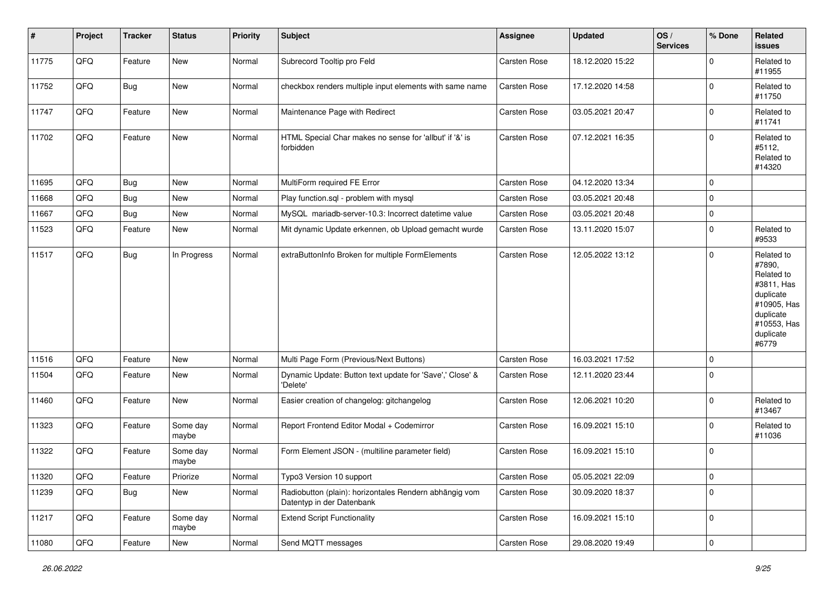| $\sharp$ | Project        | <b>Tracker</b> | <b>Status</b>     | <b>Priority</b> | <b>Subject</b>                                                                      | <b>Assignee</b>     | <b>Updated</b>   | OS/<br><b>Services</b> | % Done      | <b>Related</b><br>issues                                                                                                       |
|----------|----------------|----------------|-------------------|-----------------|-------------------------------------------------------------------------------------|---------------------|------------------|------------------------|-------------|--------------------------------------------------------------------------------------------------------------------------------|
| 11775    | QFQ            | Feature        | New               | Normal          | Subrecord Tooltip pro Feld                                                          | Carsten Rose        | 18.12.2020 15:22 |                        | $\mathbf 0$ | Related to<br>#11955                                                                                                           |
| 11752    | QFQ            | <b>Bug</b>     | New               | Normal          | checkbox renders multiple input elements with same name                             | Carsten Rose        | 17.12.2020 14:58 |                        | $\mathbf 0$ | Related to<br>#11750                                                                                                           |
| 11747    | QFQ            | Feature        | New               | Normal          | Maintenance Page with Redirect                                                      | Carsten Rose        | 03.05.2021 20:47 |                        | $\mathbf 0$ | Related to<br>#11741                                                                                                           |
| 11702    | QFQ            | Feature        | New               | Normal          | HTML Special Char makes no sense for 'allbut' if '&' is<br>forbidden                | Carsten Rose        | 07.12.2021 16:35 |                        | $\mathbf 0$ | Related to<br>#5112,<br>Related to<br>#14320                                                                                   |
| 11695    | QFQ            | <b>Bug</b>     | New               | Normal          | MultiForm required FE Error                                                         | Carsten Rose        | 04.12.2020 13:34 |                        | $\mathbf 0$ |                                                                                                                                |
| 11668    | QFQ            | <b>Bug</b>     | New               | Normal          | Play function.sql - problem with mysql                                              | Carsten Rose        | 03.05.2021 20:48 |                        | $\mathbf 0$ |                                                                                                                                |
| 11667    | QFQ            | <b>Bug</b>     | New               | Normal          | MySQL mariadb-server-10.3: Incorrect datetime value                                 | Carsten Rose        | 03.05.2021 20:48 |                        | 0           |                                                                                                                                |
| 11523    | QFQ            | Feature        | New               | Normal          | Mit dynamic Update erkennen, ob Upload gemacht wurde                                | Carsten Rose        | 13.11.2020 15:07 |                        | 0           | Related to<br>#9533                                                                                                            |
| 11517    | QFQ            | Bug            | In Progress       | Normal          | extraButtonInfo Broken for multiple FormElements                                    | Carsten Rose        | 12.05.2022 13:12 |                        | 0           | Related to<br>#7890,<br>Related to<br>#3811, Has<br>duplicate<br>#10905, Has<br>duplicate<br>#10553, Has<br>duplicate<br>#6779 |
| 11516    | QFQ            | Feature        | New               | Normal          | Multi Page Form (Previous/Next Buttons)                                             | Carsten Rose        | 16.03.2021 17:52 |                        | $\mathbf 0$ |                                                                                                                                |
| 11504    | QFQ            | Feature        | New               | Normal          | Dynamic Update: Button text update for 'Save',' Close' &<br>'Delete'                | Carsten Rose        | 12.11.2020 23:44 |                        | $\mathbf 0$ |                                                                                                                                |
| 11460    | QFQ            | Feature        | New               | Normal          | Easier creation of changelog: gitchangelog                                          | Carsten Rose        | 12.06.2021 10:20 |                        | 0           | Related to<br>#13467                                                                                                           |
| 11323    | QFQ            | Feature        | Some day<br>maybe | Normal          | Report Frontend Editor Modal + Codemirror                                           | Carsten Rose        | 16.09.2021 15:10 |                        | 0           | Related to<br>#11036                                                                                                           |
| 11322    | QFQ            | Feature        | Some day<br>maybe | Normal          | Form Element JSON - (multiline parameter field)                                     | Carsten Rose        | 16.09.2021 15:10 |                        | 0           |                                                                                                                                |
| 11320    | QFG            | Feature        | Priorize          | Normal          | Typo3 Version 10 support                                                            | <b>Carsten Rose</b> | 05.05.2021 22:09 |                        | 0           |                                                                                                                                |
| 11239    | QFQ            | <b>Bug</b>     | New               | Normal          | Radiobutton (plain): horizontales Rendern abhängig vom<br>Datentyp in der Datenbank | Carsten Rose        | 30.09.2020 18:37 |                        | 0           |                                                                                                                                |
| 11217    | QFQ            | Feature        | Some day<br>maybe | Normal          | <b>Extend Script Functionality</b>                                                  | Carsten Rose        | 16.09.2021 15:10 |                        | 0           |                                                                                                                                |
| 11080    | $\mathsf{QFQ}$ | Feature        | New               | Normal          | Send MQTT messages                                                                  | Carsten Rose        | 29.08.2020 19:49 |                        | 0           |                                                                                                                                |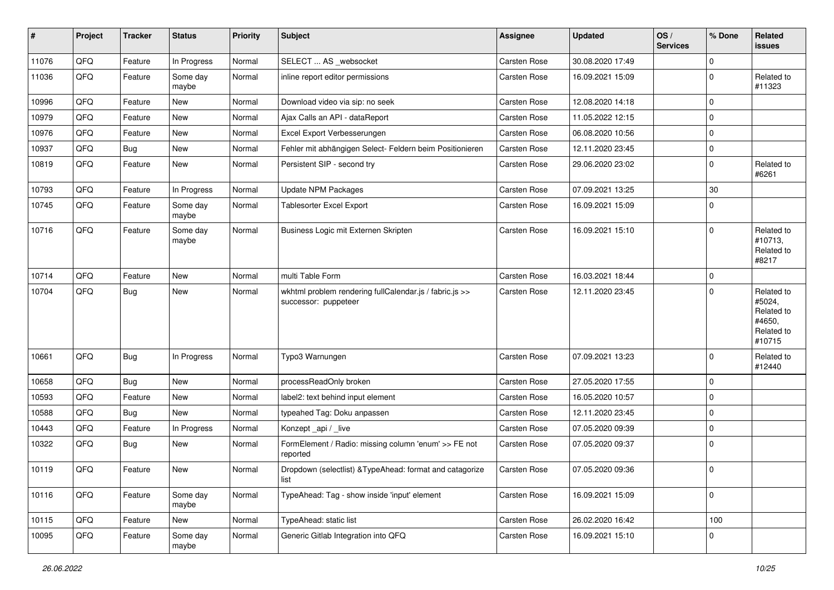| $\vert$ # | Project | <b>Tracker</b> | <b>Status</b>     | <b>Priority</b> | <b>Subject</b>                                                                  | <b>Assignee</b>     | <b>Updated</b>   | OS/<br><b>Services</b> | % Done      | Related<br>issues                                                    |
|-----------|---------|----------------|-------------------|-----------------|---------------------------------------------------------------------------------|---------------------|------------------|------------------------|-------------|----------------------------------------------------------------------|
| 11076     | QFQ     | Feature        | In Progress       | Normal          | SELECT  AS _websocket                                                           | Carsten Rose        | 30.08.2020 17:49 |                        | $\mathbf 0$ |                                                                      |
| 11036     | QFQ     | Feature        | Some day<br>maybe | Normal          | inline report editor permissions                                                | Carsten Rose        | 16.09.2021 15:09 |                        | 0           | Related to<br>#11323                                                 |
| 10996     | QFQ     | Feature        | <b>New</b>        | Normal          | Download video via sip: no seek                                                 | Carsten Rose        | 12.08.2020 14:18 |                        | $\mathbf 0$ |                                                                      |
| 10979     | QFQ     | Feature        | New               | Normal          | Ajax Calls an API - dataReport                                                  | Carsten Rose        | 11.05.2022 12:15 |                        | $\pmb{0}$   |                                                                      |
| 10976     | QFQ     | Feature        | New               | Normal          | Excel Export Verbesserungen                                                     | Carsten Rose        | 06.08.2020 10:56 |                        | $\mathbf 0$ |                                                                      |
| 10937     | QFQ     | <b>Bug</b>     | New               | Normal          | Fehler mit abhängigen Select- Feldern beim Positionieren                        | Carsten Rose        | 12.11.2020 23:45 |                        | 0           |                                                                      |
| 10819     | QFQ     | Feature        | New               | Normal          | Persistent SIP - second try                                                     | Carsten Rose        | 29.06.2020 23:02 |                        | $\Omega$    | Related to<br>#6261                                                  |
| 10793     | QFQ     | Feature        | In Progress       | Normal          | Update NPM Packages                                                             | Carsten Rose        | 07.09.2021 13:25 |                        | $30\,$      |                                                                      |
| 10745     | QFQ     | Feature        | Some day<br>maybe | Normal          | Tablesorter Excel Export                                                        | Carsten Rose        | 16.09.2021 15:09 |                        | $\mathbf 0$ |                                                                      |
| 10716     | QFQ     | Feature        | Some day<br>maybe | Normal          | Business Logic mit Externen Skripten                                            | Carsten Rose        | 16.09.2021 15:10 |                        | $\mathbf 0$ | Related to<br>#10713,<br>Related to<br>#8217                         |
| 10714     | QFQ     | Feature        | New               | Normal          | multi Table Form                                                                | Carsten Rose        | 16.03.2021 18:44 |                        | $\mathbf 0$ |                                                                      |
| 10704     | QFQ     | <b>Bug</b>     | New               | Normal          | wkhtml problem rendering fullCalendar.js / fabric.js >><br>successor: puppeteer | Carsten Rose        | 12.11.2020 23:45 |                        | $\Omega$    | Related to<br>#5024,<br>Related to<br>#4650.<br>Related to<br>#10715 |
| 10661     | QFQ     | Bug            | In Progress       | Normal          | Typo3 Warnungen                                                                 | Carsten Rose        | 07.09.2021 13:23 |                        | $\mathbf 0$ | Related to<br>#12440                                                 |
| 10658     | QFQ     | <b>Bug</b>     | New               | Normal          | processReadOnly broken                                                          | Carsten Rose        | 27.05.2020 17:55 |                        | $\Omega$    |                                                                      |
| 10593     | QFQ     | Feature        | New               | Normal          | label2: text behind input element                                               | Carsten Rose        | 16.05.2020 10:57 |                        | $\pmb{0}$   |                                                                      |
| 10588     | QFQ     | Bug            | New               | Normal          | typeahed Tag: Doku anpassen                                                     | Carsten Rose        | 12.11.2020 23:45 |                        | 0           |                                                                      |
| 10443     | QFQ     | Feature        | In Progress       | Normal          | Konzept_api / _live                                                             | <b>Carsten Rose</b> | 07.05.2020 09:39 |                        | $\pmb{0}$   |                                                                      |
| 10322     | QFQ     | Bug            | New               | Normal          | FormElement / Radio: missing column 'enum' >> FE not<br>reported                | Carsten Rose        | 07.05.2020 09:37 |                        | $\Omega$    |                                                                      |
| 10119     | QFG     | Feature        | New               | Normal          | Dropdown (selectlist) & TypeAhead: format and catagorize<br>list                | Carsten Rose        | 07.05.2020 09:36 |                        | $\mathbf 0$ |                                                                      |
| 10116     | QFQ     | Feature        | Some day<br>maybe | Normal          | TypeAhead: Tag - show inside 'input' element                                    | Carsten Rose        | 16.09.2021 15:09 |                        | $\mathbf 0$ |                                                                      |
| 10115     | QFQ     | Feature        | New               | Normal          | TypeAhead: static list                                                          | Carsten Rose        | 26.02.2020 16:42 |                        | 100         |                                                                      |
| 10095     | QFQ     | Feature        | Some day<br>maybe | Normal          | Generic Gitlab Integration into QFQ                                             | Carsten Rose        | 16.09.2021 15:10 |                        | 0           |                                                                      |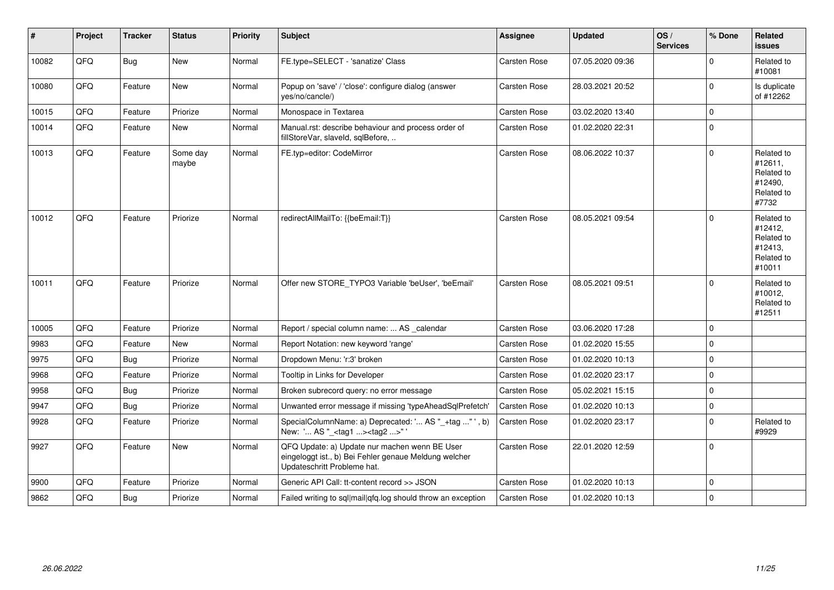| $\vert$ # | Project | <b>Tracker</b> | <b>Status</b>     | <b>Priority</b> | <b>Subject</b>                                                                                                                        | <b>Assignee</b>     | <b>Updated</b>   | OS/<br><b>Services</b> | % Done         | Related<br><b>issues</b>                                               |
|-----------|---------|----------------|-------------------|-----------------|---------------------------------------------------------------------------------------------------------------------------------------|---------------------|------------------|------------------------|----------------|------------------------------------------------------------------------|
| 10082     | QFQ     | <b>Bug</b>     | <b>New</b>        | Normal          | FE.type=SELECT - 'sanatize' Class                                                                                                     | Carsten Rose        | 07.05.2020 09:36 |                        | 0              | Related to<br>#10081                                                   |
| 10080     | QFQ     | Feature        | <b>New</b>        | Normal          | Popup on 'save' / 'close': configure dialog (answer<br>yes/no/cancle/)                                                                | Carsten Rose        | 28.03.2021 20:52 |                        | $\Omega$       | Is duplicate<br>of #12262                                              |
| 10015     | QFQ     | Feature        | Priorize          | Normal          | Monospace in Textarea                                                                                                                 | <b>Carsten Rose</b> | 03.02.2020 13:40 |                        | $\Omega$       |                                                                        |
| 10014     | QFQ     | Feature        | New               | Normal          | Manual.rst: describe behaviour and process order of<br>fillStoreVar, slaveId, sqlBefore,                                              | <b>Carsten Rose</b> | 01.02.2020 22:31 |                        | $\Omega$       |                                                                        |
| 10013     | QFQ     | Feature        | Some day<br>maybe | Normal          | FE.typ=editor: CodeMirror                                                                                                             | Carsten Rose        | 08.06.2022 10:37 |                        | $\Omega$       | Related to<br>#12611,<br>Related to<br>#12490,<br>Related to<br>#7732  |
| 10012     | QFQ     | Feature        | Priorize          | Normal          | redirectAllMailTo: {{beEmail:T}}                                                                                                      | <b>Carsten Rose</b> | 08.05.2021 09:54 |                        | $\Omega$       | Related to<br>#12412.<br>Related to<br>#12413,<br>Related to<br>#10011 |
| 10011     | QFQ     | Feature        | Priorize          | Normal          | Offer new STORE_TYPO3 Variable 'beUser', 'beEmail'                                                                                    | Carsten Rose        | 08.05.2021 09:51 |                        | 0              | Related to<br>#10012,<br>Related to<br>#12511                          |
| 10005     | QFQ     | Feature        | Priorize          | Normal          | Report / special column name:  AS _calendar                                                                                           | Carsten Rose        | 03.06.2020 17:28 |                        | 0              |                                                                        |
| 9983      | QFQ     | Feature        | <b>New</b>        | Normal          | Report Notation: new keyword 'range'                                                                                                  | Carsten Rose        | 01.02.2020 15:55 |                        | 0              |                                                                        |
| 9975      | QFQ     | Bug            | Priorize          | Normal          | Dropdown Menu: 'r:3' broken                                                                                                           | <b>Carsten Rose</b> | 01.02.2020 10:13 |                        | $\Omega$       |                                                                        |
| 9968      | QFQ     | Feature        | Priorize          | Normal          | Tooltip in Links for Developer                                                                                                        | Carsten Rose        | 01.02.2020 23:17 |                        | $\Omega$       |                                                                        |
| 9958      | QFQ     | Bug            | Priorize          | Normal          | Broken subrecord query: no error message                                                                                              | Carsten Rose        | 05.02.2021 15:15 |                        | 0              |                                                                        |
| 9947      | QFQ     | Bug            | Priorize          | Normal          | Unwanted error message if missing 'typeAheadSqlPrefetch'                                                                              | <b>Carsten Rose</b> | 01.02.2020 10:13 |                        | $\overline{0}$ |                                                                        |
| 9928      | QFQ     | Feature        | Priorize          | Normal          | SpecialColumnName: a) Deprecated: ' AS "_+tag " ', b)<br>New: ' AS "_ <tag1><tag2>"</tag2></tag1>                                     | Carsten Rose        | 01.02.2020 23:17 |                        | 0              | Related to<br>#9929                                                    |
| 9927      | QFQ     | Feature        | <b>New</b>        | Normal          | QFQ Update: a) Update nur machen wenn BE User<br>eingeloggt ist., b) Bei Fehler genaue Meldung welcher<br>Updateschritt Probleme hat. | Carsten Rose        | 22.01.2020 12:59 |                        | 0              |                                                                        |
| 9900      | QFQ     | Feature        | Priorize          | Normal          | Generic API Call: tt-content record >> JSON                                                                                           | Carsten Rose        | 01.02.2020 10:13 |                        | $\Omega$       |                                                                        |
| 9862      | QFQ     | <b>Bug</b>     | Priorize          | Normal          | Failed writing to sql mail qfq.log should throw an exception                                                                          | <b>Carsten Rose</b> | 01.02.2020 10:13 |                        | $\Omega$       |                                                                        |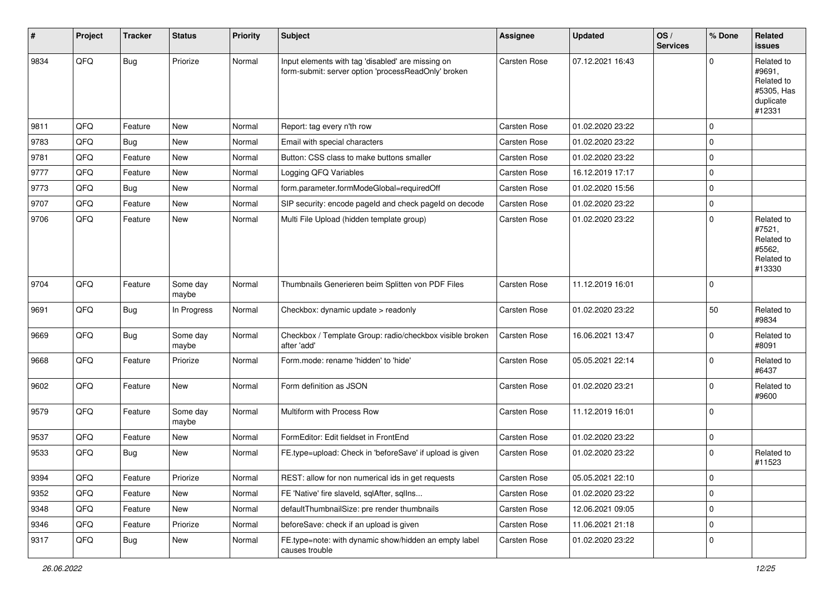| #    | Project | <b>Tracker</b> | <b>Status</b>     | <b>Priority</b> | <b>Subject</b>                                                                                           | <b>Assignee</b>     | <b>Updated</b>   | OS/<br><b>Services</b> | % Done      | Related<br><b>issues</b>                                                |
|------|---------|----------------|-------------------|-----------------|----------------------------------------------------------------------------------------------------------|---------------------|------------------|------------------------|-------------|-------------------------------------------------------------------------|
| 9834 | QFQ     | Bug            | Priorize          | Normal          | Input elements with tag 'disabled' are missing on<br>form-submit: server option 'processReadOnly' broken | <b>Carsten Rose</b> | 07.12.2021 16:43 |                        | $\Omega$    | Related to<br>#9691,<br>Related to<br>#5305, Has<br>duplicate<br>#12331 |
| 9811 | QFQ     | Feature        | <b>New</b>        | Normal          | Report: tag every n'th row                                                                               | Carsten Rose        | 01.02.2020 23:22 |                        | $\mathbf 0$ |                                                                         |
| 9783 | QFQ     | <b>Bug</b>     | <b>New</b>        | Normal          | Email with special characters                                                                            | Carsten Rose        | 01.02.2020 23:22 |                        | $\mathbf 0$ |                                                                         |
| 9781 | QFQ     | Feature        | New               | Normal          | Button: CSS class to make buttons smaller                                                                | Carsten Rose        | 01.02.2020 23:22 |                        | $\pmb{0}$   |                                                                         |
| 9777 | QFQ     | Feature        | New               | Normal          | Logging QFQ Variables                                                                                    | Carsten Rose        | 16.12.2019 17:17 |                        | $\mathbf 0$ |                                                                         |
| 9773 | QFQ     | <b>Bug</b>     | New               | Normal          | form.parameter.formModeGlobal=requiredOff                                                                | Carsten Rose        | 01.02.2020 15:56 |                        | $\mathbf 0$ |                                                                         |
| 9707 | QFQ     | Feature        | <b>New</b>        | Normal          | SIP security: encode pageId and check pageId on decode                                                   | Carsten Rose        | 01.02.2020 23:22 |                        | $\mathbf 0$ |                                                                         |
| 9706 | QFQ     | Feature        | New               | Normal          | Multi File Upload (hidden template group)                                                                | Carsten Rose        | 01.02.2020 23:22 |                        | $\Omega$    | Related to<br>#7521,<br>Related to<br>#5562,<br>Related to<br>#13330    |
| 9704 | QFQ     | Feature        | Some day<br>maybe | Normal          | Thumbnails Generieren beim Splitten von PDF Files                                                        | Carsten Rose        | 11.12.2019 16:01 |                        | $\mathbf 0$ |                                                                         |
| 9691 | QFQ     | <b>Bug</b>     | In Progress       | Normal          | Checkbox: dynamic update > readonly                                                                      | <b>Carsten Rose</b> | 01.02.2020 23:22 |                        | 50          | Related to<br>#9834                                                     |
| 9669 | QFQ     | <b>Bug</b>     | Some day<br>maybe | Normal          | Checkbox / Template Group: radio/checkbox visible broken<br>after 'add'                                  | Carsten Rose        | 16.06.2021 13:47 |                        | $\mathbf 0$ | Related to<br>#8091                                                     |
| 9668 | QFQ     | Feature        | Priorize          | Normal          | Form.mode: rename 'hidden' to 'hide'                                                                     | Carsten Rose        | 05.05.2021 22:14 |                        | $\mathbf 0$ | Related to<br>#6437                                                     |
| 9602 | QFQ     | Feature        | New               | Normal          | Form definition as JSON                                                                                  | Carsten Rose        | 01.02.2020 23:21 |                        | $\mathbf 0$ | Related to<br>#9600                                                     |
| 9579 | QFQ     | Feature        | Some day<br>maybe | Normal          | Multiform with Process Row                                                                               | Carsten Rose        | 11.12.2019 16:01 |                        | $\mathbf 0$ |                                                                         |
| 9537 | QFQ     | Feature        | New               | Normal          | FormEditor: Edit fieldset in FrontEnd                                                                    | Carsten Rose        | 01.02.2020 23:22 |                        | $\pmb{0}$   |                                                                         |
| 9533 | QFQ     | Bug            | New               | Normal          | FE.type=upload: Check in 'beforeSave' if upload is given                                                 | Carsten Rose        | 01.02.2020 23:22 |                        | $\Omega$    | Related to<br>#11523                                                    |
| 9394 | QFQ     | Feature        | Priorize          | Normal          | REST: allow for non numerical ids in get requests                                                        | Carsten Rose        | 05.05.2021 22:10 |                        | $\mathbf 0$ |                                                                         |
| 9352 | QFQ     | Feature        | New               | Normal          | FE 'Native' fire slaveld, sqlAfter, sqlIns                                                               | Carsten Rose        | 01.02.2020 23:22 |                        | $\pmb{0}$   |                                                                         |
| 9348 | QFQ     | Feature        | New               | Normal          | defaultThumbnailSize: pre render thumbnails                                                              | Carsten Rose        | 12.06.2021 09:05 |                        | $\pmb{0}$   |                                                                         |
| 9346 | QFQ     | Feature        | Priorize          | Normal          | beforeSave: check if an upload is given                                                                  | Carsten Rose        | 11.06.2021 21:18 |                        | $\pmb{0}$   |                                                                         |
| 9317 | QFQ     | <b>Bug</b>     | New               | Normal          | FE.type=note: with dynamic show/hidden an empty label<br>causes trouble                                  | Carsten Rose        | 01.02.2020 23:22 |                        | $\pmb{0}$   |                                                                         |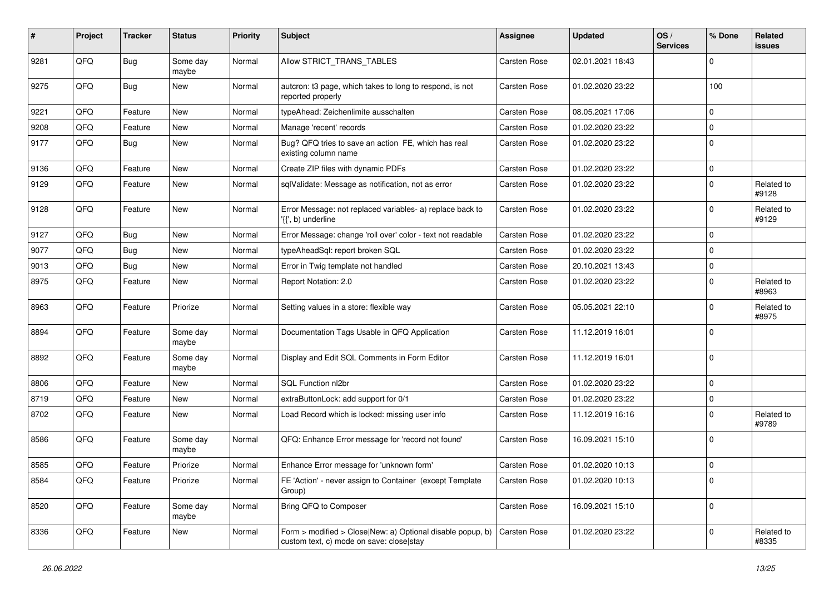| #    | Project | <b>Tracker</b> | <b>Status</b>     | <b>Priority</b> | <b>Subject</b>                                                                                         | <b>Assignee</b> | <b>Updated</b>   | OS/<br><b>Services</b> | % Done      | Related<br><b>issues</b> |
|------|---------|----------------|-------------------|-----------------|--------------------------------------------------------------------------------------------------------|-----------------|------------------|------------------------|-------------|--------------------------|
| 9281 | QFQ     | <b>Bug</b>     | Some day<br>maybe | Normal          | Allow STRICT_TRANS_TABLES                                                                              | Carsten Rose    | 02.01.2021 18:43 |                        | $\mathbf 0$ |                          |
| 9275 | QFQ     | <b>Bug</b>     | New               | Normal          | autcron: t3 page, which takes to long to respond, is not<br>reported properly                          | Carsten Rose    | 01.02.2020 23:22 |                        | 100         |                          |
| 9221 | QFQ     | Feature        | New               | Normal          | typeAhead: Zeichenlimite ausschalten                                                                   | Carsten Rose    | 08.05.2021 17:06 |                        | $\mathbf 0$ |                          |
| 9208 | QFQ     | Feature        | New               | Normal          | Manage 'recent' records                                                                                | Carsten Rose    | 01.02.2020 23:22 |                        | $\mathbf 0$ |                          |
| 9177 | QFQ     | <b>Bug</b>     | New               | Normal          | Bug? QFQ tries to save an action FE, which has real<br>existing column name                            | Carsten Rose    | 01.02.2020 23:22 |                        | $\mathbf 0$ |                          |
| 9136 | QFQ     | Feature        | <b>New</b>        | Normal          | Create ZIP files with dynamic PDFs                                                                     | Carsten Rose    | 01.02.2020 23:22 |                        | $\mathbf 0$ |                          |
| 9129 | QFQ     | Feature        | New               | Normal          | sqlValidate: Message as notification, not as error                                                     | Carsten Rose    | 01.02.2020 23:22 |                        | 0           | Related to<br>#9128      |
| 9128 | QFQ     | Feature        | New               | Normal          | Error Message: not replaced variables- a) replace back to<br>'{{', b) underline                        | Carsten Rose    | 01.02.2020 23:22 |                        | $\mathbf 0$ | Related to<br>#9129      |
| 9127 | QFQ     | <b>Bug</b>     | New               | Normal          | Error Message: change 'roll over' color - text not readable                                            | Carsten Rose    | 01.02.2020 23:22 |                        | $\mathbf 0$ |                          |
| 9077 | QFQ     | <b>Bug</b>     | New               | Normal          | typeAheadSql: report broken SQL                                                                        | Carsten Rose    | 01.02.2020 23:22 |                        | 0           |                          |
| 9013 | QFQ     | Bug            | New               | Normal          | Error in Twig template not handled                                                                     | Carsten Rose    | 20.10.2021 13:43 |                        | $\mathbf 0$ |                          |
| 8975 | QFQ     | Feature        | New               | Normal          | Report Notation: 2.0                                                                                   | Carsten Rose    | 01.02.2020 23:22 |                        | $\mathbf 0$ | Related to<br>#8963      |
| 8963 | QFQ     | Feature        | Priorize          | Normal          | Setting values in a store: flexible way                                                                | Carsten Rose    | 05.05.2021 22:10 |                        | $\Omega$    | Related to<br>#8975      |
| 8894 | QFQ     | Feature        | Some day<br>maybe | Normal          | Documentation Tags Usable in QFQ Application                                                           | Carsten Rose    | 11.12.2019 16:01 |                        | $\mathbf 0$ |                          |
| 8892 | QFQ     | Feature        | Some day<br>maybe | Normal          | Display and Edit SQL Comments in Form Editor                                                           | Carsten Rose    | 11.12.2019 16:01 |                        | $\mathbf 0$ |                          |
| 8806 | QFQ     | Feature        | New               | Normal          | SQL Function nl2br                                                                                     | Carsten Rose    | 01.02.2020 23:22 |                        | $\mathbf 0$ |                          |
| 8719 | QFQ     | Feature        | New               | Normal          | extraButtonLock: add support for 0/1                                                                   | Carsten Rose    | 01.02.2020 23:22 |                        | $\mathbf 0$ |                          |
| 8702 | QFQ     | Feature        | New               | Normal          | Load Record which is locked: missing user info                                                         | Carsten Rose    | 11.12.2019 16:16 |                        | $\Omega$    | Related to<br>#9789      |
| 8586 | QFQ     | Feature        | Some day<br>maybe | Normal          | QFQ: Enhance Error message for 'record not found'                                                      | Carsten Rose    | 16.09.2021 15:10 |                        | 0           |                          |
| 8585 | QFQ     | Feature        | Priorize          | Normal          | Enhance Error message for 'unknown form'                                                               | Carsten Rose    | 01.02.2020 10:13 |                        | 0           |                          |
| 8584 | QFQ     | Feature        | Priorize          | Normal          | FE 'Action' - never assign to Container (except Template<br>Group)                                     | Carsten Rose    | 01.02.2020 10:13 |                        | $\mathbf 0$ |                          |
| 8520 | QFQ     | Feature        | Some day<br>maybe | Normal          | Bring QFQ to Composer                                                                                  | Carsten Rose    | 16.09.2021 15:10 |                        | $\mathbf 0$ |                          |
| 8336 | QFQ     | Feature        | New               | Normal          | Form > modified > Close New: a) Optional disable popup, b)<br>custom text, c) mode on save: close stay | Carsten Rose    | 01.02.2020 23:22 |                        | $\mathbf 0$ | Related to<br>#8335      |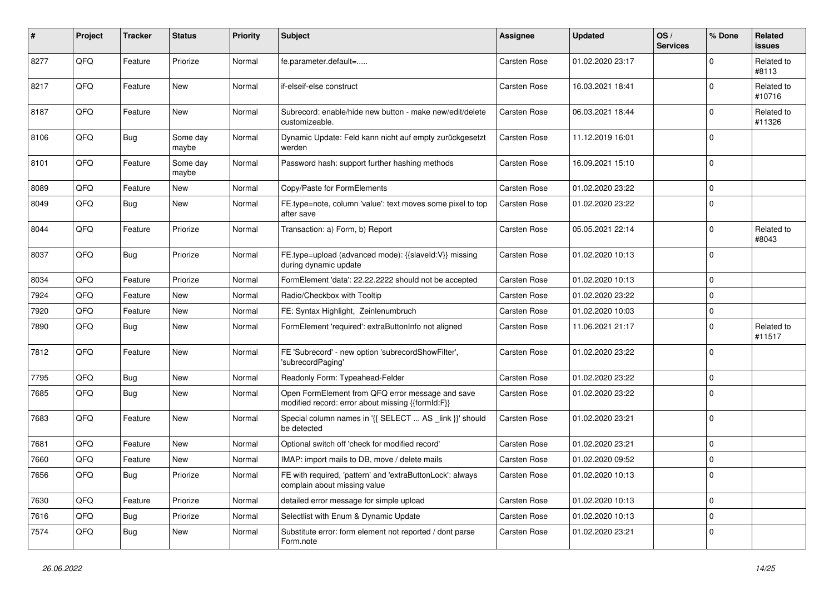| $\pmb{\#}$ | Project | <b>Tracker</b> | <b>Status</b>     | <b>Priority</b> | <b>Subject</b>                                                                                        | Assignee            | <b>Updated</b>   | OS/<br><b>Services</b> | % Done      | Related<br><b>issues</b> |
|------------|---------|----------------|-------------------|-----------------|-------------------------------------------------------------------------------------------------------|---------------------|------------------|------------------------|-------------|--------------------------|
| 8277       | QFQ     | Feature        | Priorize          | Normal          | fe.parameter.default=                                                                                 | Carsten Rose        | 01.02.2020 23:17 |                        | $\Omega$    | Related to<br>#8113      |
| 8217       | QFQ     | Feature        | New               | Normal          | if-elseif-else construct                                                                              | Carsten Rose        | 16.03.2021 18:41 |                        | $\Omega$    | Related to<br>#10716     |
| 8187       | QFQ     | Feature        | New               | Normal          | Subrecord: enable/hide new button - make new/edit/delete<br>customizeable.                            | Carsten Rose        | 06.03.2021 18:44 |                        | $\Omega$    | Related to<br>#11326     |
| 8106       | QFQ     | <b>Bug</b>     | Some day<br>maybe | Normal          | Dynamic Update: Feld kann nicht auf empty zurückgesetzt<br>werden                                     | Carsten Rose        | 11.12.2019 16:01 |                        | $\mathbf 0$ |                          |
| 8101       | QFQ     | Feature        | Some day<br>maybe | Normal          | Password hash: support further hashing methods                                                        | Carsten Rose        | 16.09.2021 15:10 |                        | $\Omega$    |                          |
| 8089       | QFQ     | Feature        | New               | Normal          | Copy/Paste for FormElements                                                                           | Carsten Rose        | 01.02.2020 23:22 |                        | $\mathbf 0$ |                          |
| 8049       | QFQ     | <b>Bug</b>     | New               | Normal          | FE.type=note, column 'value': text moves some pixel to top<br>after save                              | Carsten Rose        | 01.02.2020 23:22 |                        | $\Omega$    |                          |
| 8044       | QFQ     | Feature        | Priorize          | Normal          | Transaction: a) Form, b) Report                                                                       | Carsten Rose        | 05.05.2021 22:14 |                        | $\mathbf 0$ | Related to<br>#8043      |
| 8037       | QFQ     | Bug            | Priorize          | Normal          | FE.type=upload (advanced mode): {{slaveld:V}} missing<br>during dynamic update                        | Carsten Rose        | 01.02.2020 10:13 |                        | $\Omega$    |                          |
| 8034       | QFQ     | Feature        | Priorize          | Normal          | FormElement 'data': 22.22.2222 should not be accepted                                                 | Carsten Rose        | 01.02.2020 10:13 |                        | $\mathbf 0$ |                          |
| 7924       | QFQ     | Feature        | New               | Normal          | Radio/Checkbox with Tooltip                                                                           | Carsten Rose        | 01.02.2020 23:22 |                        | $\mathbf 0$ |                          |
| 7920       | QFQ     | Feature        | New               | Normal          | FE: Syntax Highlight, Zeinlenumbruch                                                                  | Carsten Rose        | 01.02.2020 10:03 |                        | $\mathbf 0$ |                          |
| 7890       | QFQ     | <b>Bug</b>     | New               | Normal          | FormElement 'required': extraButtonInfo not aligned                                                   | Carsten Rose        | 11.06.2021 21:17 |                        | $\Omega$    | Related to<br>#11517     |
| 7812       | QFQ     | Feature        | <b>New</b>        | Normal          | FE 'Subrecord' - new option 'subrecordShowFilter',<br>'subrecordPaging'                               | Carsten Rose        | 01.02.2020 23:22 |                        | $\Omega$    |                          |
| 7795       | QFQ     | <b>Bug</b>     | <b>New</b>        | Normal          | Readonly Form: Typeahead-Felder                                                                       | Carsten Rose        | 01.02.2020 23:22 |                        | $\mathbf 0$ |                          |
| 7685       | QFQ     | Bug            | New               | Normal          | Open FormElement from QFQ error message and save<br>modified record: error about missing {{formId:F}} | Carsten Rose        | 01.02.2020 23:22 |                        | $\Omega$    |                          |
| 7683       | QFQ     | Feature        | <b>New</b>        | Normal          | Special column names in '{{ SELECT  AS _link }}' should<br>be detected                                | Carsten Rose        | 01.02.2020 23:21 |                        | $\mathbf 0$ |                          |
| 7681       | QFQ     | Feature        | New               | Normal          | Optional switch off 'check for modified record'                                                       | Carsten Rose        | 01.02.2020 23:21 |                        | $\mathbf 0$ |                          |
| 7660       | QFQ     | Feature        | New               | Normal          | IMAP: import mails to DB, move / delete mails                                                         | Carsten Rose        | 01.02.2020 09:52 |                        | $\mathbf 0$ |                          |
| 7656       | QFQ     | Bug            | Priorize          | Normal          | FE with required, 'pattern' and 'extraButtonLock': always<br>complain about missing value             | Carsten Rose        | 01.02.2020 10:13 |                        | 0           |                          |
| 7630       | QFQ     | Feature        | Priorize          | Normal          | detailed error message for simple upload                                                              | Carsten Rose        | 01.02.2020 10:13 |                        | $\mathbf 0$ |                          |
| 7616       | QFQ     | <b>Bug</b>     | Priorize          | Normal          | Selectlist with Enum & Dynamic Update                                                                 | Carsten Rose        | 01.02.2020 10:13 |                        | $\pmb{0}$   |                          |
| 7574       | QFQ     | <b>Bug</b>     | New               | Normal          | Substitute error: form element not reported / dont parse<br>Form.note                                 | <b>Carsten Rose</b> | 01.02.2020 23:21 |                        | $\mathbf 0$ |                          |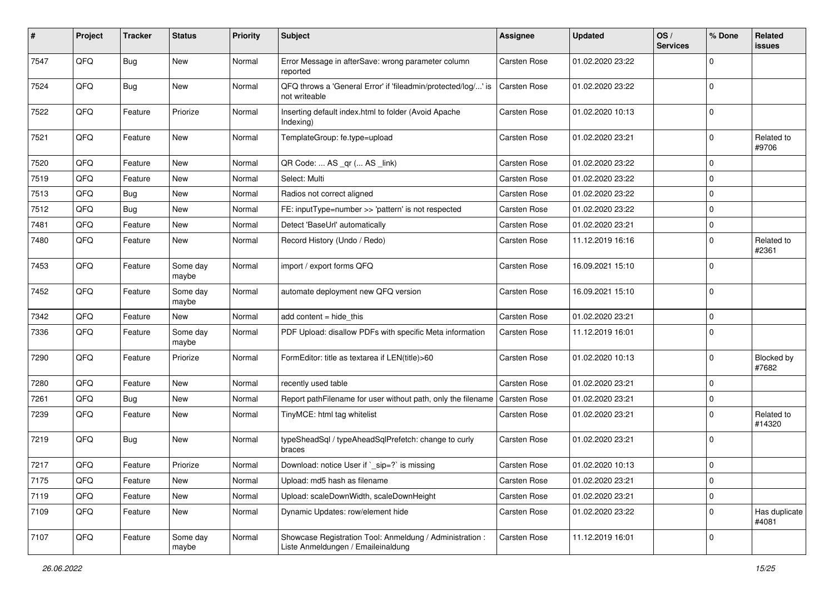| $\sharp$ | Project | <b>Tracker</b> | <b>Status</b>     | <b>Priority</b> | <b>Subject</b>                                                                                 | <b>Assignee</b> | <b>Updated</b>   | OS/<br><b>Services</b> | % Done      | Related<br><b>issues</b> |
|----------|---------|----------------|-------------------|-----------------|------------------------------------------------------------------------------------------------|-----------------|------------------|------------------------|-------------|--------------------------|
| 7547     | QFQ     | <b>Bug</b>     | New               | Normal          | Error Message in afterSave: wrong parameter column<br>reported                                 | Carsten Rose    | 01.02.2020 23:22 |                        | $\Omega$    |                          |
| 7524     | QFQ     | Bug            | New               | Normal          | QFQ throws a 'General Error' if 'fileadmin/protected/log/' is<br>not writeable                 | Carsten Rose    | 01.02.2020 23:22 |                        | $\mathbf 0$ |                          |
| 7522     | QFQ     | Feature        | Priorize          | Normal          | Inserting default index.html to folder (Avoid Apache<br>Indexing)                              | Carsten Rose    | 01.02.2020 10:13 |                        | $\Omega$    |                          |
| 7521     | QFQ     | Feature        | New               | Normal          | TemplateGroup: fe.type=upload                                                                  | Carsten Rose    | 01.02.2020 23:21 |                        | 0           | Related to<br>#9706      |
| 7520     | QFQ     | Feature        | New               | Normal          | QR Code:  AS _qr ( AS _link)                                                                   | Carsten Rose    | 01.02.2020 23:22 |                        | $\mathbf 0$ |                          |
| 7519     | QFQ     | Feature        | New               | Normal          | Select: Multi                                                                                  | Carsten Rose    | 01.02.2020 23:22 |                        | 0           |                          |
| 7513     | QFQ     | <b>Bug</b>     | New               | Normal          | Radios not correct aligned                                                                     | Carsten Rose    | 01.02.2020 23:22 |                        | $\mathbf 0$ |                          |
| 7512     | QFQ     | Bug            | New               | Normal          | FE: inputType=number >> 'pattern' is not respected                                             | Carsten Rose    | 01.02.2020 23:22 |                        | $\mathbf 0$ |                          |
| 7481     | QFQ     | Feature        | New               | Normal          | Detect 'BaseUrl' automatically                                                                 | Carsten Rose    | 01.02.2020 23:21 |                        | $\mathbf 0$ |                          |
| 7480     | QFQ     | Feature        | New               | Normal          | Record History (Undo / Redo)                                                                   | Carsten Rose    | 11.12.2019 16:16 |                        | $\mathbf 0$ | Related to<br>#2361      |
| 7453     | QFQ     | Feature        | Some day<br>maybe | Normal          | import / export forms QFQ                                                                      | Carsten Rose    | 16.09.2021 15:10 |                        | $\Omega$    |                          |
| 7452     | QFQ     | Feature        | Some day<br>maybe | Normal          | automate deployment new QFQ version                                                            | Carsten Rose    | 16.09.2021 15:10 |                        | $\mathbf 0$ |                          |
| 7342     | QFQ     | Feature        | New               | Normal          | add content $=$ hide this                                                                      | Carsten Rose    | 01.02.2020 23:21 |                        | $\mathbf 0$ |                          |
| 7336     | QFQ     | Feature        | Some day<br>maybe | Normal          | PDF Upload: disallow PDFs with specific Meta information                                       | Carsten Rose    | 11.12.2019 16:01 |                        | 0           |                          |
| 7290     | QFQ     | Feature        | Priorize          | Normal          | FormEditor: title as textarea if LEN(title)>60                                                 | Carsten Rose    | 01.02.2020 10:13 |                        | 0           | Blocked by<br>#7682      |
| 7280     | QFQ     | Feature        | New               | Normal          | recently used table                                                                            | Carsten Rose    | 01.02.2020 23:21 |                        | $\mathbf 0$ |                          |
| 7261     | QFQ     | <b>Bug</b>     | New               | Normal          | Report pathFilename for user without path, only the filename                                   | Carsten Rose    | 01.02.2020 23:21 |                        | 0           |                          |
| 7239     | QFQ     | Feature        | New               | Normal          | TinyMCE: html tag whitelist                                                                    | Carsten Rose    | 01.02.2020 23:21 |                        | $\Omega$    | Related to<br>#14320     |
| 7219     | QFQ     | Bug            | New               | Normal          | typeSheadSql / typeAheadSqlPrefetch: change to curly<br>braces                                 | Carsten Rose    | 01.02.2020 23:21 |                        | $\mathbf 0$ |                          |
| 7217     | QFQ     | Feature        | Priorize          | Normal          | Download: notice User if `_sip=?` is missing                                                   | Carsten Rose    | 01.02.2020 10:13 |                        | $\mathbf 0$ |                          |
| 7175     | QFQ     | Feature        | New               | Normal          | Upload: md5 hash as filename                                                                   | Carsten Rose    | 01.02.2020 23:21 |                        | 0           |                          |
| 7119     | QFQ     | Feature        | New               | Normal          | Upload: scaleDownWidth, scaleDownHeight                                                        | Carsten Rose    | 01.02.2020 23:21 |                        | $\mathbf 0$ |                          |
| 7109     | QFQ     | Feature        | New               | Normal          | Dynamic Updates: row/element hide                                                              | Carsten Rose    | 01.02.2020 23:22 |                        | 0           | Has duplicate<br>#4081   |
| 7107     | QFQ     | Feature        | Some day<br>maybe | Normal          | Showcase Registration Tool: Anmeldung / Administration :<br>Liste Anmeldungen / Emaileinaldung | Carsten Rose    | 11.12.2019 16:01 |                        | $\mathbf 0$ |                          |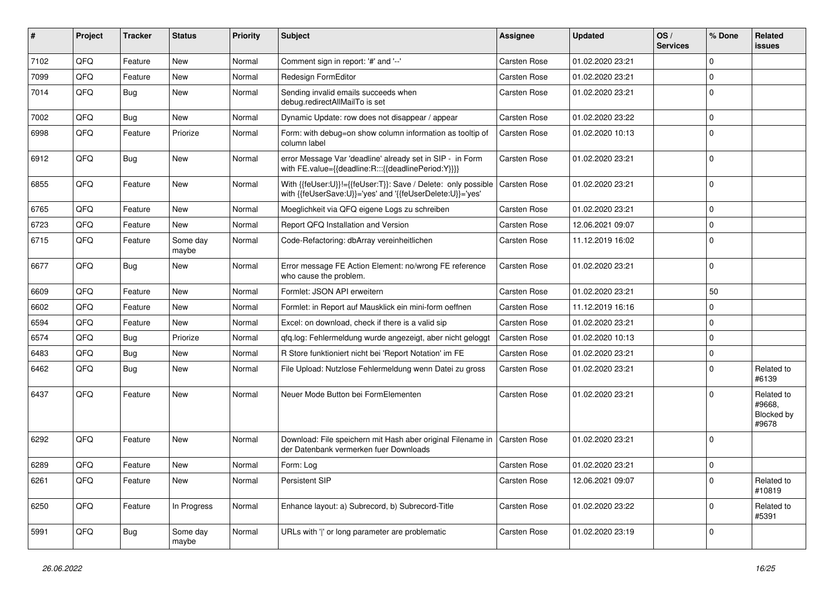| #    | Project | <b>Tracker</b> | <b>Status</b>     | <b>Priority</b> | <b>Subject</b>                                                                                                             | <b>Assignee</b>     | <b>Updated</b>   | OS/<br><b>Services</b> | % Done      | <b>Related</b><br>issues                    |
|------|---------|----------------|-------------------|-----------------|----------------------------------------------------------------------------------------------------------------------------|---------------------|------------------|------------------------|-------------|---------------------------------------------|
| 7102 | QFQ     | Feature        | <b>New</b>        | Normal          | Comment sign in report: '#' and '--'                                                                                       | <b>Carsten Rose</b> | 01.02.2020 23:21 |                        | $\mathbf 0$ |                                             |
| 7099 | QFQ     | Feature        | New               | Normal          | Redesign FormEditor                                                                                                        | Carsten Rose        | 01.02.2020 23:21 |                        | $\Omega$    |                                             |
| 7014 | QFQ     | Bug            | New               | Normal          | Sending invalid emails succeeds when<br>debug.redirectAllMailTo is set                                                     | Carsten Rose        | 01.02.2020 23:21 |                        | $\Omega$    |                                             |
| 7002 | QFQ     | <b>Bug</b>     | New               | Normal          | Dynamic Update: row does not disappear / appear                                                                            | Carsten Rose        | 01.02.2020 23:22 |                        | $\Omega$    |                                             |
| 6998 | QFQ     | Feature        | Priorize          | Normal          | Form: with debug=on show column information as tooltip of<br>column label                                                  | <b>Carsten Rose</b> | 01.02.2020 10:13 |                        | $\Omega$    |                                             |
| 6912 | QFQ     | Bug            | New               | Normal          | error Message Var 'deadline' already set in SIP - in Form<br>with FE.value={{deadline:R:::{{deadlinePeriod:Y}}}}           | <b>Carsten Rose</b> | 01.02.2020 23:21 |                        | $\Omega$    |                                             |
| 6855 | QFQ     | Feature        | New               | Normal          | With {{feUser:U}}!={{feUser:T}}: Save / Delete: only possible<br>with {{feUserSave:U}}='yes' and '{{feUserDelete:U}}='yes' | Carsten Rose        | 01.02.2020 23:21 |                        | $\Omega$    |                                             |
| 6765 | QFQ     | Feature        | <b>New</b>        | Normal          | Moeglichkeit via QFQ eigene Logs zu schreiben                                                                              | Carsten Rose        | 01.02.2020 23:21 |                        | $\Omega$    |                                             |
| 6723 | QFQ     | Feature        | New               | Normal          | Report QFQ Installation and Version                                                                                        | Carsten Rose        | 12.06.2021 09:07 |                        | $\mathbf 0$ |                                             |
| 6715 | QFQ     | Feature        | Some day<br>maybe | Normal          | Code-Refactoring: dbArray vereinheitlichen                                                                                 | Carsten Rose        | 11.12.2019 16:02 |                        | $\Omega$    |                                             |
| 6677 | QFQ     | <b>Bug</b>     | New               | Normal          | Error message FE Action Element: no/wrong FE reference<br>who cause the problem.                                           | <b>Carsten Rose</b> | 01.02.2020 23:21 |                        | $\Omega$    |                                             |
| 6609 | QFQ     | Feature        | New               | Normal          | Formlet: JSON API erweitern                                                                                                | Carsten Rose        | 01.02.2020 23:21 |                        | 50          |                                             |
| 6602 | QFQ     | Feature        | New               | Normal          | Formlet: in Report auf Mausklick ein mini-form oeffnen                                                                     | Carsten Rose        | 11.12.2019 16:16 |                        | $\Omega$    |                                             |
| 6594 | QFQ     | Feature        | New               | Normal          | Excel: on download, check if there is a valid sip                                                                          | <b>Carsten Rose</b> | 01.02.2020 23:21 |                        | $\mathbf 0$ |                                             |
| 6574 | QFQ     | Bug            | Priorize          | Normal          | gfg.log: Fehlermeldung wurde angezeigt, aber nicht geloggt                                                                 | <b>Carsten Rose</b> | 01.02.2020 10:13 |                        | $\Omega$    |                                             |
| 6483 | QFQ     | <b>Bug</b>     | New               | Normal          | R Store funktioniert nicht bei 'Report Notation' im FE                                                                     | Carsten Rose        | 01.02.2020 23:21 |                        | $\mathbf 0$ |                                             |
| 6462 | QFQ     | Bug            | New               | Normal          | File Upload: Nutzlose Fehlermeldung wenn Datei zu gross                                                                    | Carsten Rose        | 01.02.2020 23:21 |                        | $\mathbf 0$ | Related to<br>#6139                         |
| 6437 | QFQ     | Feature        | <b>New</b>        | Normal          | Neuer Mode Button bei FormElementen                                                                                        | <b>Carsten Rose</b> | 01.02.2020 23:21 |                        | $\Omega$    | Related to<br>#9668.<br>Blocked by<br>#9678 |
| 6292 | QFQ     | Feature        | New               | Normal          | Download: File speichern mit Hash aber original Filename in   Carsten Rose<br>der Datenbank vermerken fuer Downloads       |                     | 01.02.2020 23:21 |                        | $\mathbf 0$ |                                             |
| 6289 | QFQ     | Feature        | New               | Normal          | Form: Log                                                                                                                  | <b>Carsten Rose</b> | 01.02.2020 23:21 |                        | $\mathbf 0$ |                                             |
| 6261 | QFQ     | Feature        | New               | Normal          | Persistent SIP                                                                                                             | Carsten Rose        | 12.06.2021 09:07 |                        | $\pmb{0}$   | Related to<br>#10819                        |
| 6250 | QFG     | Feature        | In Progress       | Normal          | Enhance layout: a) Subrecord, b) Subrecord-Title                                                                           | Carsten Rose        | 01.02.2020 23:22 |                        | 0           | Related to<br>#5391                         |
| 5991 | QFQ     | <b>Bug</b>     | Some day<br>maybe | Normal          | URLs with ' ' or long parameter are problematic                                                                            | Carsten Rose        | 01.02.2020 23:19 |                        | 0           |                                             |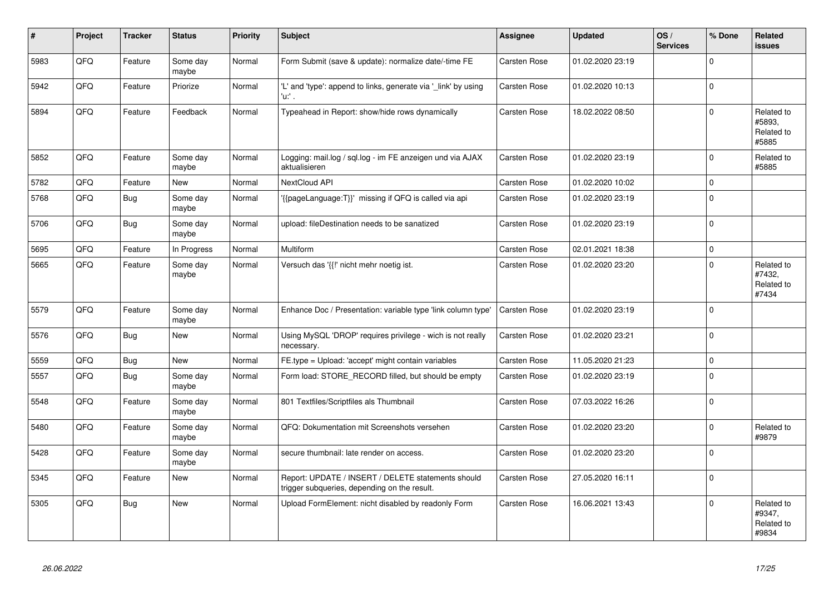| #    | Project | <b>Tracker</b> | <b>Status</b>     | <b>Priority</b> | <b>Subject</b>                                                                                     | <b>Assignee</b>     | <b>Updated</b>   | OS/<br><b>Services</b> | % Done      | <b>Related</b><br><b>issues</b>             |
|------|---------|----------------|-------------------|-----------------|----------------------------------------------------------------------------------------------------|---------------------|------------------|------------------------|-------------|---------------------------------------------|
| 5983 | QFQ     | Feature        | Some day<br>maybe | Normal          | Form Submit (save & update): normalize date/-time FE                                               | <b>Carsten Rose</b> | 01.02.2020 23:19 |                        | $\Omega$    |                                             |
| 5942 | QFQ     | Feature        | Priorize          | Normal          | 'L' and 'type': append to links, generate via '_link' by using<br>'u:' .                           | Carsten Rose        | 01.02.2020 10:13 |                        | $\mathbf 0$ |                                             |
| 5894 | QFQ     | Feature        | Feedback          | Normal          | Typeahead in Report: show/hide rows dynamically                                                    | Carsten Rose        | 18.02.2022 08:50 |                        | $\Omega$    | Related to<br>#5893,<br>Related to<br>#5885 |
| 5852 | QFQ     | Feature        | Some day<br>maybe | Normal          | Logging: mail.log / sql.log - im FE anzeigen und via AJAX<br>aktualisieren                         | <b>Carsten Rose</b> | 01.02.2020 23:19 |                        | $\Omega$    | Related to<br>#5885                         |
| 5782 | QFQ     | Feature        | <b>New</b>        | Normal          | NextCloud API                                                                                      | <b>Carsten Rose</b> | 01.02.2020 10:02 |                        | 0           |                                             |
| 5768 | QFQ     | Bug            | Some day<br>maybe | Normal          | '{{pageLanguage:T}}' missing if QFQ is called via api                                              | <b>Carsten Rose</b> | 01.02.2020 23:19 |                        | $\Omega$    |                                             |
| 5706 | QFQ     | Bug            | Some day<br>maybe | Normal          | upload: fileDestination needs to be sanatized                                                      | Carsten Rose        | 01.02.2020 23:19 |                        | $\mathbf 0$ |                                             |
| 5695 | QFQ     | Feature        | In Progress       | Normal          | Multiform                                                                                          | Carsten Rose        | 02.01.2021 18:38 |                        | $\pmb{0}$   |                                             |
| 5665 | QFQ     | Feature        | Some day<br>maybe | Normal          | Versuch das '{{!' nicht mehr noetig ist.                                                           | <b>Carsten Rose</b> | 01.02.2020 23:20 |                        | $\Omega$    | Related to<br>#7432,<br>Related to<br>#7434 |
| 5579 | QFQ     | Feature        | Some day<br>maybe | Normal          | Enhance Doc / Presentation: variable type 'link column type'                                       | Carsten Rose        | 01.02.2020 23:19 |                        | $\Omega$    |                                             |
| 5576 | QFQ     | <b>Bug</b>     | New               | Normal          | Using MySQL 'DROP' requires privilege - wich is not really<br>necessary.                           | Carsten Rose        | 01.02.2020 23:21 |                        | $\Omega$    |                                             |
| 5559 | QFQ     | <b>Bug</b>     | <b>New</b>        | Normal          | FE.type = Upload: 'accept' might contain variables                                                 | Carsten Rose        | 11.05.2020 21:23 |                        | $\pmb{0}$   |                                             |
| 5557 | QFQ     | Bug            | Some day<br>maybe | Normal          | Form load: STORE RECORD filled, but should be empty                                                | Carsten Rose        | 01.02.2020 23:19 |                        | $\Omega$    |                                             |
| 5548 | QFQ     | Feature        | Some day<br>maybe | Normal          | 801 Textfiles/Scriptfiles als Thumbnail                                                            | Carsten Rose        | 07.03.2022 16:26 |                        | 0           |                                             |
| 5480 | QFQ     | Feature        | Some day<br>maybe | Normal          | QFQ: Dokumentation mit Screenshots versehen                                                        | Carsten Rose        | 01.02.2020 23:20 |                        | 0           | Related to<br>#9879                         |
| 5428 | QFQ     | Feature        | Some day<br>maybe | Normal          | secure thumbnail: late render on access.                                                           | Carsten Rose        | 01.02.2020 23:20 |                        | 0           |                                             |
| 5345 | QFQ     | Feature        | <b>New</b>        | Normal          | Report: UPDATE / INSERT / DELETE statements should<br>trigger subqueries, depending on the result. | Carsten Rose        | 27.05.2020 16:11 |                        | $\Omega$    |                                             |
| 5305 | QFQ     | <b>Bug</b>     | New               | Normal          | Upload FormElement: nicht disabled by readonly Form                                                | Carsten Rose        | 16.06.2021 13:43 |                        | $\Omega$    | Related to<br>#9347,<br>Related to<br>#9834 |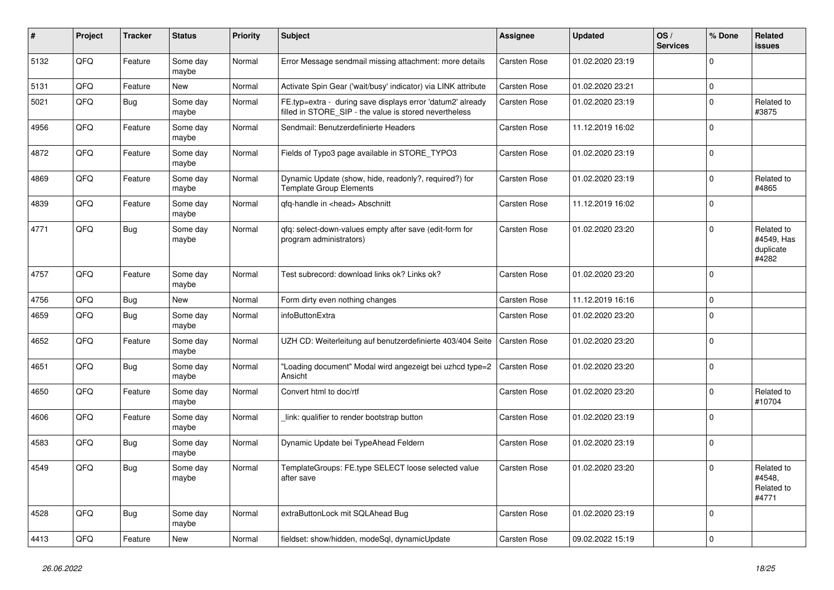| #    | Project | <b>Tracker</b> | <b>Status</b>     | <b>Priority</b> | <b>Subject</b>                                                                                                       | Assignee            | <b>Updated</b>   | OS/<br><b>Services</b> | % Done       | Related<br><b>issues</b>                       |
|------|---------|----------------|-------------------|-----------------|----------------------------------------------------------------------------------------------------------------------|---------------------|------------------|------------------------|--------------|------------------------------------------------|
| 5132 | QFQ     | Feature        | Some day<br>maybe | Normal          | Error Message sendmail missing attachment: more details                                                              | Carsten Rose        | 01.02.2020 23:19 |                        | $\mathbf 0$  |                                                |
| 5131 | QFQ     | Feature        | <b>New</b>        | Normal          | Activate Spin Gear ('wait/busy' indicator) via LINK attribute                                                        | Carsten Rose        | 01.02.2020 23:21 |                        | $\mathbf 0$  |                                                |
| 5021 | QFQ     | <b>Bug</b>     | Some day<br>maybe | Normal          | FE.typ=extra - during save displays error 'datum2' already<br>filled in STORE_SIP - the value is stored nevertheless | Carsten Rose        | 01.02.2020 23:19 |                        | $\pmb{0}$    | Related to<br>#3875                            |
| 4956 | QFQ     | Feature        | Some day<br>maybe | Normal          | Sendmail: Benutzerdefinierte Headers                                                                                 | Carsten Rose        | 11.12.2019 16:02 |                        | $\mathbf 0$  |                                                |
| 4872 | QFQ     | Feature        | Some day<br>maybe | Normal          | Fields of Typo3 page available in STORE_TYPO3                                                                        | Carsten Rose        | 01.02.2020 23:19 |                        | $\mathbf 0$  |                                                |
| 4869 | QFQ     | Feature        | Some day<br>maybe | Normal          | Dynamic Update (show, hide, readonly?, required?) for<br><b>Template Group Elements</b>                              | Carsten Rose        | 01.02.2020 23:19 |                        | $\Omega$     | Related to<br>#4865                            |
| 4839 | QFQ     | Feature        | Some day<br>maybe | Normal          | qfq-handle in <head> Abschnitt</head>                                                                                | Carsten Rose        | 11.12.2019 16:02 |                        | $\mathbf 0$  |                                                |
| 4771 | QFQ     | Bug            | Some day<br>maybe | Normal          | gfg: select-down-values empty after save (edit-form for<br>program administrators)                                   | <b>Carsten Rose</b> | 01.02.2020 23:20 |                        | $\Omega$     | Related to<br>#4549, Has<br>duplicate<br>#4282 |
| 4757 | QFQ     | Feature        | Some day<br>maybe | Normal          | Test subrecord: download links ok? Links ok?                                                                         | <b>Carsten Rose</b> | 01.02.2020 23:20 |                        | $\mathbf 0$  |                                                |
| 4756 | QFQ     | Bug            | <b>New</b>        | Normal          | Form dirty even nothing changes                                                                                      | <b>Carsten Rose</b> | 11.12.2019 16:16 |                        | $\pmb{0}$    |                                                |
| 4659 | QFQ     | Bug            | Some day<br>maybe | Normal          | infoButtonExtra                                                                                                      | <b>Carsten Rose</b> | 01.02.2020 23:20 |                        | $\mathbf 0$  |                                                |
| 4652 | QFQ     | Feature        | Some day<br>maybe | Normal          | UZH CD: Weiterleitung auf benutzerdefinierte 403/404 Seite                                                           | Carsten Rose        | 01.02.2020 23:20 |                        | $\Omega$     |                                                |
| 4651 | QFQ     | <b>Bug</b>     | Some day<br>maybe | Normal          | "Loading document" Modal wird angezeigt bei uzhcd type=2<br>Ansicht                                                  | Carsten Rose        | 01.02.2020 23:20 |                        | $\mathbf{0}$ |                                                |
| 4650 | QFQ     | Feature        | Some day<br>maybe | Normal          | Convert html to doc/rtf                                                                                              | <b>Carsten Rose</b> | 01.02.2020 23:20 |                        | $\mathbf 0$  | Related to<br>#10704                           |
| 4606 | QFQ     | Feature        | Some day<br>maybe | Normal          | link: qualifier to render bootstrap button                                                                           | Carsten Rose        | 01.02.2020 23:19 |                        | $\Omega$     |                                                |
| 4583 | QFQ     | <b>Bug</b>     | Some day<br>maybe | Normal          | Dynamic Update bei TypeAhead Feldern                                                                                 | Carsten Rose        | 01.02.2020 23:19 |                        | $\mathbf 0$  |                                                |
| 4549 | QFQ     | Bug            | Some day<br>maybe | Normal          | TemplateGroups: FE.type SELECT loose selected value<br>after save                                                    | Carsten Rose        | 01.02.2020 23:20 |                        | $\Omega$     | Related to<br>#4548.<br>Related to<br>#4771    |
| 4528 | QFQ     | <b>Bug</b>     | Some day<br>maybe | Normal          | extraButtonLock mit SQLAhead Bug                                                                                     | Carsten Rose        | 01.02.2020 23:19 |                        | $\Omega$     |                                                |
| 4413 | QFQ     | Feature        | <b>New</b>        | Normal          | fieldset: show/hidden, modeSql, dynamicUpdate                                                                        | <b>Carsten Rose</b> | 09.02.2022 15:19 |                        | $\mathbf 0$  |                                                |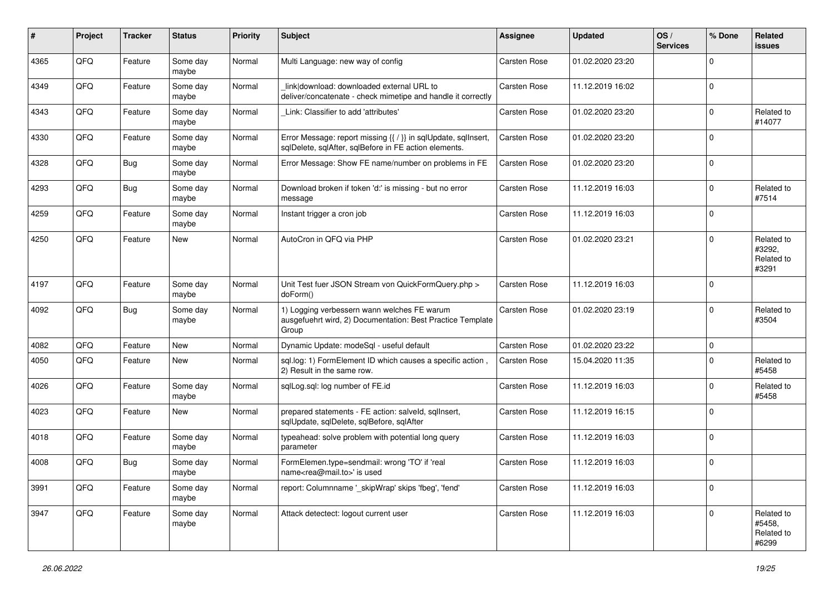| #    | Project | <b>Tracker</b> | <b>Status</b>     | <b>Priority</b> | <b>Subject</b>                                                                                                          | <b>Assignee</b>     | <b>Updated</b>   | OS/<br><b>Services</b> | % Done      | Related<br>issues                           |
|------|---------|----------------|-------------------|-----------------|-------------------------------------------------------------------------------------------------------------------------|---------------------|------------------|------------------------|-------------|---------------------------------------------|
| 4365 | QFQ     | Feature        | Some day<br>maybe | Normal          | Multi Language: new way of config                                                                                       | Carsten Rose        | 01.02.2020 23:20 |                        | $\Omega$    |                                             |
| 4349 | QFQ     | Feature        | Some day<br>maybe | Normal          | link download: downloaded external URL to<br>deliver/concatenate - check mimetipe and handle it correctly               | <b>Carsten Rose</b> | 11.12.2019 16:02 |                        | $\Omega$    |                                             |
| 4343 | QFQ     | Feature        | Some day<br>maybe | Normal          | Link: Classifier to add 'attributes'                                                                                    | Carsten Rose        | 01.02.2020 23:20 |                        | $\Omega$    | Related to<br>#14077                        |
| 4330 | QFQ     | Feature        | Some day<br>maybe | Normal          | Error Message: report missing {{ / }} in sqlUpdate, sqlInsert,<br>sqlDelete, sqlAfter, sqlBefore in FE action elements. | Carsten Rose        | 01.02.2020 23:20 |                        | $\mathbf 0$ |                                             |
| 4328 | QFQ     | <b>Bug</b>     | Some day<br>maybe | Normal          | Error Message: Show FE name/number on problems in FE                                                                    | <b>Carsten Rose</b> | 01.02.2020 23:20 |                        | $\Omega$    |                                             |
| 4293 | QFQ     | Bug            | Some day<br>maybe | Normal          | Download broken if token 'd:' is missing - but no error<br>message                                                      | Carsten Rose        | 11.12.2019 16:03 |                        | $\Omega$    | Related to<br>#7514                         |
| 4259 | QFQ     | Feature        | Some day<br>maybe | Normal          | Instant trigger a cron job                                                                                              | Carsten Rose        | 11.12.2019 16:03 |                        | $\Omega$    |                                             |
| 4250 | QFQ     | Feature        | New               | Normal          | AutoCron in OFO via PHP                                                                                                 | <b>Carsten Rose</b> | 01.02.2020 23:21 |                        | $\Omega$    | Related to<br>#3292.<br>Related to<br>#3291 |
| 4197 | QFQ     | Feature        | Some day<br>maybe | Normal          | Unit Test fuer JSON Stream von QuickFormQuery.php ><br>doForm()                                                         | Carsten Rose        | 11.12.2019 16:03 |                        | $\Omega$    |                                             |
| 4092 | QFQ     | <b>Bug</b>     | Some day<br>maybe | Normal          | 1) Logging verbessern wann welches FE warum<br>ausgefuehrt wird, 2) Documentation: Best Practice Template<br>Group      | Carsten Rose        | 01.02.2020 23:19 |                        | $\mathbf 0$ | Related to<br>#3504                         |
| 4082 | QFQ     | Feature        | New               | Normal          | Dynamic Update: modeSql - useful default                                                                                | <b>Carsten Rose</b> | 01.02.2020 23:22 |                        | 0           |                                             |
| 4050 | QFQ     | Feature        | New               | Normal          | sql.log: 1) FormElement ID which causes a specific action,<br>2) Result in the same row.                                | <b>Carsten Rose</b> | 15.04.2020 11:35 |                        | $\Omega$    | Related to<br>#5458                         |
| 4026 | QFQ     | Feature        | Some day<br>maybe | Normal          | sqlLog.sql: log number of FE.id                                                                                         | Carsten Rose        | 11.12.2019 16:03 |                        | $\Omega$    | Related to<br>#5458                         |
| 4023 | QFQ     | Feature        | <b>New</b>        | Normal          | prepared statements - FE action: salveld, sqllnsert,<br>sqlUpdate, sqlDelete, sqlBefore, sqlAfter                       | Carsten Rose        | 11.12.2019 16:15 |                        | $\Omega$    |                                             |
| 4018 | QFQ     | Feature        | Some day<br>maybe | Normal          | typeahead: solve problem with potential long query<br>parameter                                                         | <b>Carsten Rose</b> | 11.12.2019 16:03 |                        | $\Omega$    |                                             |
| 4008 | QFQ     | Bug            | Some day<br>maybe | Normal          | FormElemen.type=sendmail: wrong 'TO' if 'real<br>name <rea@mail.to>' is used</rea@mail.to>                              | <b>Carsten Rose</b> | 11.12.2019 16:03 |                        | $\mathbf 0$ |                                             |
| 3991 | QFQ     | Feature        | Some day<br>maybe | Normal          | report: Columnname ' skipWrap' skips 'fbeg', 'fend'                                                                     | Carsten Rose        | 11.12.2019 16:03 |                        | 0           |                                             |
| 3947 | QFQ     | Feature        | Some day<br>maybe | Normal          | Attack detectect: logout current user                                                                                   | Carsten Rose        | 11.12.2019 16:03 |                        | 0           | Related to<br>#5458,<br>Related to<br>#6299 |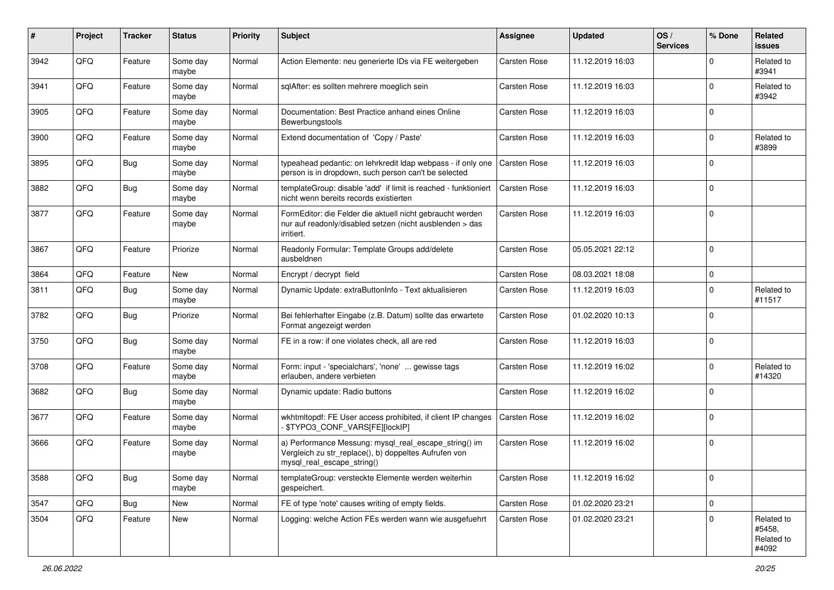| #    | Project | <b>Tracker</b> | <b>Status</b>     | <b>Priority</b> | <b>Subject</b>                                                                                                                               | <b>Assignee</b>     | <b>Updated</b>   | OS/<br><b>Services</b> | % Done      | <b>Related</b><br>issues                    |
|------|---------|----------------|-------------------|-----------------|----------------------------------------------------------------------------------------------------------------------------------------------|---------------------|------------------|------------------------|-------------|---------------------------------------------|
| 3942 | QFQ     | Feature        | Some day<br>maybe | Normal          | Action Elemente: neu generierte IDs via FE weitergeben                                                                                       | Carsten Rose        | 11.12.2019 16:03 |                        | $\Omega$    | Related to<br>#3941                         |
| 3941 | QFQ     | Feature        | Some day<br>maybe | Normal          | sqlAfter: es sollten mehrere moeglich sein                                                                                                   | <b>Carsten Rose</b> | 11.12.2019 16:03 |                        | $\Omega$    | Related to<br>#3942                         |
| 3905 | QFQ     | Feature        | Some day<br>maybe | Normal          | Documentation: Best Practice anhand eines Online<br>Bewerbungstools                                                                          | Carsten Rose        | 11.12.2019 16:03 |                        | $\Omega$    |                                             |
| 3900 | QFQ     | Feature        | Some day<br>maybe | Normal          | Extend documentation of 'Copy / Paste'                                                                                                       | Carsten Rose        | 11.12.2019 16:03 |                        | 0           | Related to<br>#3899                         |
| 3895 | QFQ     | <b>Bug</b>     | Some day<br>maybe | Normal          | typeahead pedantic: on lehrkredit Idap webpass - if only one<br>person is in dropdown, such person can't be selected                         | Carsten Rose        | 11.12.2019 16:03 |                        | $\Omega$    |                                             |
| 3882 | QFQ     | <b>Bug</b>     | Some day<br>maybe | Normal          | templateGroup: disable 'add' if limit is reached - funktioniert<br>nicht wenn bereits records existierten                                    | <b>Carsten Rose</b> | 11.12.2019 16:03 |                        | $\Omega$    |                                             |
| 3877 | QFQ     | Feature        | Some day<br>maybe | Normal          | FormEditor: die Felder die aktuell nicht gebraucht werden<br>nur auf readonly/disabled setzen (nicht ausblenden > das<br>irritiert.          | Carsten Rose        | 11.12.2019 16:03 |                        | $\Omega$    |                                             |
| 3867 | QFQ     | Feature        | Priorize          | Normal          | Readonly Formular: Template Groups add/delete<br>ausbeldnen                                                                                  | Carsten Rose        | 05.05.2021 22:12 |                        | $\Omega$    |                                             |
| 3864 | QFQ     | Feature        | <b>New</b>        | Normal          | Encrypt / decrypt field                                                                                                                      | <b>Carsten Rose</b> | 08.03.2021 18:08 |                        | 0           |                                             |
| 3811 | QFQ     | Bug            | Some day<br>maybe | Normal          | Dynamic Update: extraButtonInfo - Text aktualisieren                                                                                         | Carsten Rose        | 11.12.2019 16:03 |                        | $\Omega$    | Related to<br>#11517                        |
| 3782 | QFQ     | <b>Bug</b>     | Priorize          | Normal          | Bei fehlerhafter Eingabe (z.B. Datum) sollte das erwartete<br>Format angezeigt werden                                                        | Carsten Rose        | 01.02.2020 10:13 |                        | $\Omega$    |                                             |
| 3750 | QFQ     | <b>Bug</b>     | Some day<br>maybe | Normal          | FE in a row: if one violates check, all are red                                                                                              | Carsten Rose        | 11.12.2019 16:03 |                        | $\Omega$    |                                             |
| 3708 | QFQ     | Feature        | Some day<br>maybe | Normal          | Form: input - 'specialchars', 'none'  gewisse tags<br>erlauben, andere verbieten                                                             | Carsten Rose        | 11.12.2019 16:02 |                        | $\Omega$    | Related to<br>#14320                        |
| 3682 | QFQ     | <b>Bug</b>     | Some day<br>maybe | Normal          | Dynamic update: Radio buttons                                                                                                                | Carsten Rose        | 11.12.2019 16:02 |                        | $\Omega$    |                                             |
| 3677 | QFQ     | Feature        | Some day<br>maybe | Normal          | wkhtmltopdf: FE User access prohibited, if client IP changes<br>\$TYPO3_CONF_VARS[FE][lockIP]                                                | Carsten Rose        | 11.12.2019 16:02 |                        | $\Omega$    |                                             |
| 3666 | QFQ     | Feature        | Some day<br>maybe | Normal          | a) Performance Messung: mysql_real_escape_string() im<br>Vergleich zu str_replace(), b) doppeltes Aufrufen von<br>mysql_real_escape_string() | <b>Carsten Rose</b> | 11.12.2019 16:02 |                        | $\mathbf 0$ |                                             |
| 3588 | QFQ     | <b>Bug</b>     | Some day<br>maybe | Normal          | templateGroup: versteckte Elemente werden weiterhin<br>gespeichert.                                                                          | Carsten Rose        | 11.12.2019 16:02 |                        | 0           |                                             |
| 3547 | QFQ     | <b>Bug</b>     | New               | Normal          | FE of type 'note' causes writing of empty fields.                                                                                            | Carsten Rose        | 01.02.2020 23:21 |                        | $\mathbf 0$ |                                             |
| 3504 | QFQ     | Feature        | New               | Normal          | Logging: welche Action FEs werden wann wie ausgefuehrt                                                                                       | Carsten Rose        | 01.02.2020 23:21 |                        | $\Omega$    | Related to<br>#5458,<br>Related to<br>#4092 |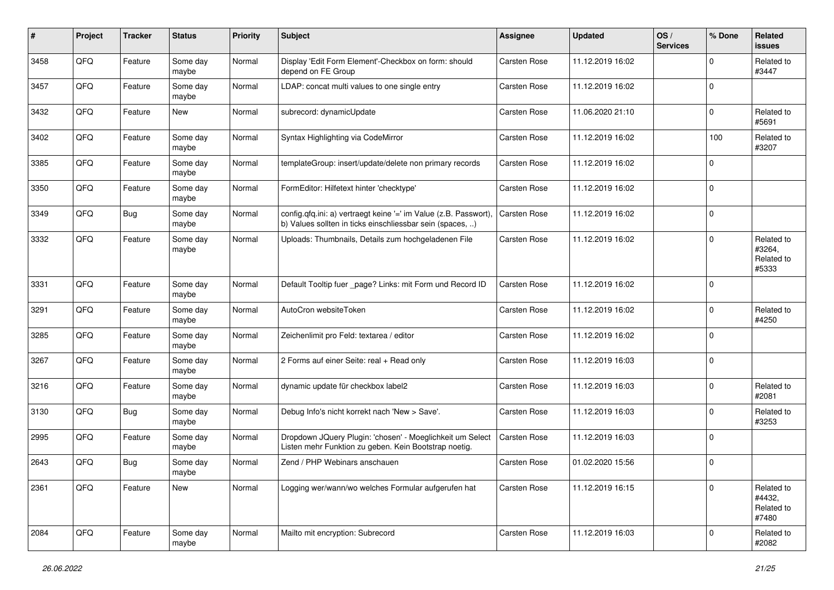| #    | Project | <b>Tracker</b> | <b>Status</b>     | <b>Priority</b> | <b>Subject</b>                                                                                                                | <b>Assignee</b>     | <b>Updated</b>   | OS/<br><b>Services</b> | % Done      | Related<br>issues                           |
|------|---------|----------------|-------------------|-----------------|-------------------------------------------------------------------------------------------------------------------------------|---------------------|------------------|------------------------|-------------|---------------------------------------------|
| 3458 | QFQ     | Feature        | Some day<br>maybe | Normal          | Display 'Edit Form Element'-Checkbox on form: should<br>depend on FE Group                                                    | Carsten Rose        | 11.12.2019 16:02 |                        | $\Omega$    | Related to<br>#3447                         |
| 3457 | QFQ     | Feature        | Some day<br>maybe | Normal          | LDAP: concat multi values to one single entry                                                                                 | <b>Carsten Rose</b> | 11.12.2019 16:02 |                        | $\Omega$    |                                             |
| 3432 | QFQ     | Feature        | New               | Normal          | subrecord: dynamicUpdate                                                                                                      | Carsten Rose        | 11.06.2020 21:10 |                        | $\mathbf 0$ | Related to<br>#5691                         |
| 3402 | QFQ     | Feature        | Some day<br>maybe | Normal          | Syntax Highlighting via CodeMirror                                                                                            | Carsten Rose        | 11.12.2019 16:02 |                        | 100         | Related to<br>#3207                         |
| 3385 | QFQ     | Feature        | Some day<br>maybe | Normal          | templateGroup: insert/update/delete non primary records                                                                       | Carsten Rose        | 11.12.2019 16:02 |                        | $\Omega$    |                                             |
| 3350 | QFQ     | Feature        | Some day<br>maybe | Normal          | FormEditor: Hilfetext hinter 'checktype'                                                                                      | Carsten Rose        | 11.12.2019 16:02 |                        | $\Omega$    |                                             |
| 3349 | QFQ     | <b>Bug</b>     | Some day<br>maybe | Normal          | config.qfq.ini: a) vertraegt keine '=' im Value (z.B. Passwort),<br>b) Values sollten in ticks einschliessbar sein (spaces, ) | <b>Carsten Rose</b> | 11.12.2019 16:02 |                        | $\Omega$    |                                             |
| 3332 | QFQ     | Feature        | Some day<br>maybe | Normal          | Uploads: Thumbnails, Details zum hochgeladenen File                                                                           | <b>Carsten Rose</b> | 11.12.2019 16:02 |                        | $\Omega$    | Related to<br>#3264.<br>Related to<br>#5333 |
| 3331 | QFQ     | Feature        | Some day<br>maybe | Normal          | Default Tooltip fuer _page? Links: mit Form und Record ID                                                                     | Carsten Rose        | 11.12.2019 16:02 |                        | $\Omega$    |                                             |
| 3291 | QFQ     | Feature        | Some day<br>maybe | Normal          | AutoCron websiteToken                                                                                                         | Carsten Rose        | 11.12.2019 16:02 |                        | $\mathbf 0$ | Related to<br>#4250                         |
| 3285 | QFQ     | Feature        | Some day<br>maybe | Normal          | Zeichenlimit pro Feld: textarea / editor                                                                                      | <b>Carsten Rose</b> | 11.12.2019 16:02 |                        | $\Omega$    |                                             |
| 3267 | QFQ     | Feature        | Some day<br>maybe | Normal          | 2 Forms auf einer Seite: real + Read only                                                                                     | <b>Carsten Rose</b> | 11.12.2019 16:03 |                        | $\Omega$    |                                             |
| 3216 | QFQ     | Feature        | Some day<br>maybe | Normal          | dynamic update für checkbox label2                                                                                            | <b>Carsten Rose</b> | 11.12.2019 16:03 |                        | $\Omega$    | Related to<br>#2081                         |
| 3130 | QFQ     | <b>Bug</b>     | Some day<br>maybe | Normal          | Debug Info's nicht korrekt nach 'New > Save'.                                                                                 | Carsten Rose        | 11.12.2019 16:03 |                        | $\Omega$    | Related to<br>#3253                         |
| 2995 | QFQ     | Feature        | Some day<br>maybe | Normal          | Dropdown JQuery Plugin: 'chosen' - Moeglichkeit um Select<br>Listen mehr Funktion zu geben. Kein Bootstrap noetig.            | <b>Carsten Rose</b> | 11.12.2019 16:03 |                        | $\Omega$    |                                             |
| 2643 | QFQ     | Bug            | Some day<br>maybe | Normal          | Zend / PHP Webinars anschauen                                                                                                 | Carsten Rose        | 01.02.2020 15:56 |                        | $\mathbf 0$ |                                             |
| 2361 | QFQ     | Feature        | New               | Normal          | Logging wer/wann/wo welches Formular aufgerufen hat                                                                           | Carsten Rose        | 11.12.2019 16:15 |                        | 0           | Related to<br>#4432,<br>Related to<br>#7480 |
| 2084 | QFQ     | Feature        | Some day<br>maybe | Normal          | Mailto mit encryption: Subrecord                                                                                              | Carsten Rose        | 11.12.2019 16:03 |                        | 0           | Related to<br>#2082                         |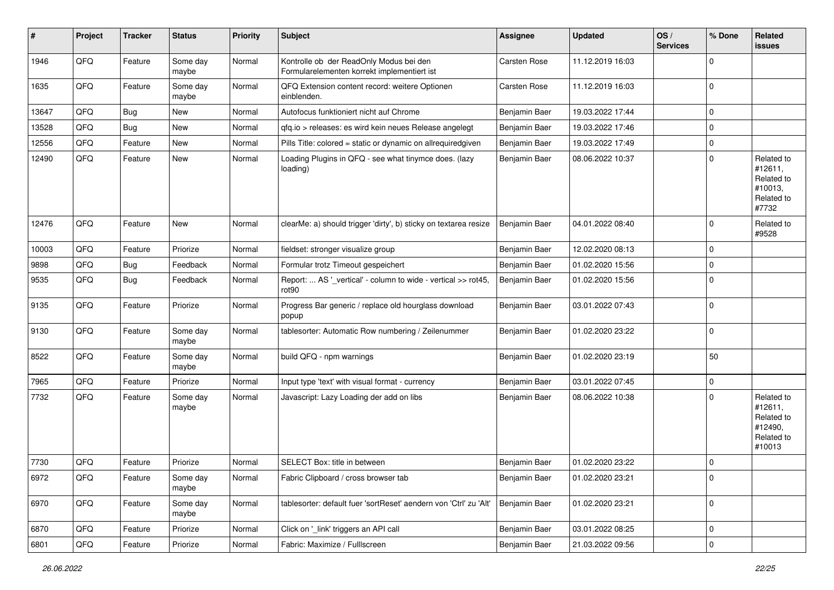| #     | Project        | <b>Tracker</b> | <b>Status</b>     | <b>Priority</b> | <b>Subject</b>                                                                         | Assignee      | <b>Updated</b>   | OS/<br><b>Services</b> | % Done      | Related<br><b>issues</b>                                               |
|-------|----------------|----------------|-------------------|-----------------|----------------------------------------------------------------------------------------|---------------|------------------|------------------------|-------------|------------------------------------------------------------------------|
| 1946  | QFQ            | Feature        | Some day<br>maybe | Normal          | Kontrolle ob der ReadOnly Modus bei den<br>Formularelementen korrekt implementiert ist | Carsten Rose  | 11.12.2019 16:03 |                        | $\Omega$    |                                                                        |
| 1635  | QFQ            | Feature        | Some day<br>maybe | Normal          | QFQ Extension content record: weitere Optionen<br>einblenden.                          | Carsten Rose  | 11.12.2019 16:03 |                        | $\Omega$    |                                                                        |
| 13647 | QFQ            | Bug            | New               | Normal          | Autofocus funktioniert nicht auf Chrome                                                | Benjamin Baer | 19.03.2022 17:44 |                        | $\Omega$    |                                                                        |
| 13528 | QFQ            | Bug            | New               | Normal          | gfg.io > releases: es wird kein neues Release angelegt                                 | Benjamin Baer | 19.03.2022 17:46 |                        | $\Omega$    |                                                                        |
| 12556 | QFQ            | Feature        | New               | Normal          | Pills Title: colored = static or dynamic on allrequiredgiven                           | Benjamin Baer | 19.03.2022 17:49 |                        | $\Omega$    |                                                                        |
| 12490 | QFQ            | Feature        | New               | Normal          | Loading Plugins in QFQ - see what tinymce does. (lazy<br>loading)                      | Benjamin Baer | 08.06.2022 10:37 |                        | $\Omega$    | Related to<br>#12611,<br>Related to<br>#10013,<br>Related to<br>#7732  |
| 12476 | QFQ            | Feature        | <b>New</b>        | Normal          | clearMe: a) should trigger 'dirty', b) sticky on textarea resize                       | Benjamin Baer | 04.01.2022 08:40 |                        | $\Omega$    | Related to<br>#9528                                                    |
| 10003 | QFQ            | Feature        | Priorize          | Normal          | fieldset: stronger visualize group                                                     | Benjamin Baer | 12.02.2020 08:13 |                        | $\Omega$    |                                                                        |
| 9898  | QFQ            | <b>Bug</b>     | Feedback          | Normal          | Formular trotz Timeout gespeichert                                                     | Benjamin Baer | 01.02.2020 15:56 |                        | $\Omega$    |                                                                        |
| 9535  | QFQ            | Bug            | Feedback          | Normal          | Report:  AS '_vertical' - column to wide - vertical >> rot45,<br>rot <sub>90</sub>     | Benjamin Baer | 01.02.2020 15:56 |                        | $\Omega$    |                                                                        |
| 9135  | QFQ            | Feature        | Priorize          | Normal          | Progress Bar generic / replace old hourglass download<br>popup                         | Benjamin Baer | 03.01.2022 07:43 |                        | $\Omega$    |                                                                        |
| 9130  | QFQ            | Feature        | Some day<br>maybe | Normal          | tablesorter: Automatic Row numbering / Zeilenummer                                     | Benjamin Baer | 01.02.2020 23:22 |                        | $\Omega$    |                                                                        |
| 8522  | QFQ            | Feature        | Some day<br>maybe | Normal          | build QFQ - npm warnings                                                               | Benjamin Baer | 01.02.2020 23:19 |                        | 50          |                                                                        |
| 7965  | QFQ            | Feature        | Priorize          | Normal          | Input type 'text' with visual format - currency                                        | Benjamin Baer | 03.01.2022 07:45 |                        | $\Omega$    |                                                                        |
| 7732  | QFQ            | Feature        | Some day<br>maybe | Normal          | Javascript: Lazy Loading der add on libs                                               | Benjamin Baer | 08.06.2022 10:38 |                        | $\Omega$    | Related to<br>#12611,<br>Related to<br>#12490,<br>Related to<br>#10013 |
| 7730  | QFQ            | Feature        | Priorize          | Normal          | SELECT Box: title in between                                                           | Benjamin Baer | 01.02.2020 23:22 |                        | $\Omega$    |                                                                        |
| 6972  | $\mathsf{QFQ}$ | Feature        | Some day<br>maybe | Normal          | Fabric Clipboard / cross browser tab                                                   | Benjamin Baer | 01.02.2020 23:21 |                        | $\mathbf 0$ |                                                                        |
| 6970  | QFQ            | Feature        | Some day<br>maybe | Normal          | tablesorter: default fuer 'sortReset' aendern von 'Ctrl' zu 'Alt'                      | Benjamin Baer | 01.02.2020 23:21 |                        | $\mathbf 0$ |                                                                        |
| 6870  | QFQ            | Feature        | Priorize          | Normal          | Click on '_link' triggers an API call                                                  | Benjamin Baer | 03.01.2022 08:25 |                        | 0           |                                                                        |
| 6801  | QFQ            | Feature        | Priorize          | Normal          | Fabric: Maximize / FullIscreen                                                         | Benjamin Baer | 21.03.2022 09:56 |                        | $\pmb{0}$   |                                                                        |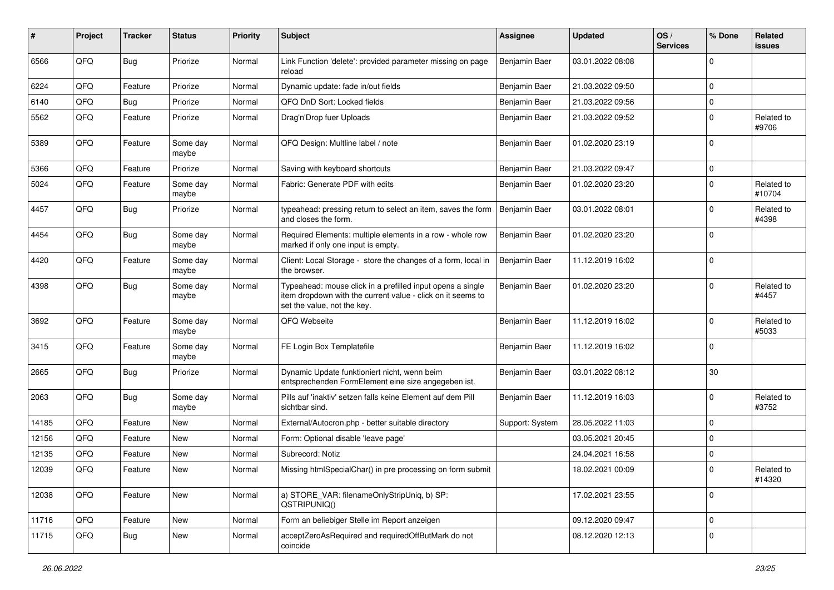| #     | Project | <b>Tracker</b> | <b>Status</b>     | <b>Priority</b> | <b>Subject</b>                                                                                                                                           | <b>Assignee</b> | <b>Updated</b>   | OS/<br><b>Services</b> | % Done      | Related<br>issues    |
|-------|---------|----------------|-------------------|-----------------|----------------------------------------------------------------------------------------------------------------------------------------------------------|-----------------|------------------|------------------------|-------------|----------------------|
| 6566  | QFQ     | <b>Bug</b>     | Priorize          | Normal          | Link Function 'delete': provided parameter missing on page<br>reload                                                                                     | Benjamin Baer   | 03.01.2022 08:08 |                        | $\Omega$    |                      |
| 6224  | QFQ     | Feature        | Priorize          | Normal          | Dynamic update: fade in/out fields                                                                                                                       | Benjamin Baer   | 21.03.2022 09:50 |                        | $\Omega$    |                      |
| 6140  | QFQ     | Bug            | Priorize          | Normal          | QFQ DnD Sort: Locked fields                                                                                                                              | Benjamin Baer   | 21.03.2022 09:56 |                        | $\mathbf 0$ |                      |
| 5562  | QFQ     | Feature        | Priorize          | Normal          | Drag'n'Drop fuer Uploads                                                                                                                                 | Benjamin Baer   | 21.03.2022 09:52 |                        | $\Omega$    | Related to<br>#9706  |
| 5389  | QFQ     | Feature        | Some day<br>maybe | Normal          | QFQ Design: Multline label / note                                                                                                                        | Benjamin Baer   | 01.02.2020 23:19 |                        | $\mathbf 0$ |                      |
| 5366  | QFQ     | Feature        | Priorize          | Normal          | Saving with keyboard shortcuts                                                                                                                           | Benjamin Baer   | 21.03.2022 09:47 |                        | $\mathbf 0$ |                      |
| 5024  | QFQ     | Feature        | Some day<br>maybe | Normal          | Fabric: Generate PDF with edits                                                                                                                          | Benjamin Baer   | 01.02.2020 23:20 |                        | $\Omega$    | Related to<br>#10704 |
| 4457  | QFQ     | Bug            | Priorize          | Normal          | typeahead: pressing return to select an item, saves the form<br>and closes the form.                                                                     | Benjamin Baer   | 03.01.2022 08:01 |                        | $\Omega$    | Related to<br>#4398  |
| 4454  | QFQ     | Bug            | Some day<br>maybe | Normal          | Required Elements: multiple elements in a row - whole row<br>marked if only one input is empty.                                                          | Benjamin Baer   | 01.02.2020 23:20 |                        | $\mathbf 0$ |                      |
| 4420  | QFQ     | Feature        | Some day<br>maybe | Normal          | Client: Local Storage - store the changes of a form, local in<br>the browser.                                                                            | Benjamin Baer   | 11.12.2019 16:02 |                        | $\Omega$    |                      |
| 4398  | QFQ     | <b>Bug</b>     | Some day<br>maybe | Normal          | Typeahead: mouse click in a prefilled input opens a single<br>item dropdown with the current value - click on it seems to<br>set the value, not the key. | Benjamin Baer   | 01.02.2020 23:20 |                        | $\Omega$    | Related to<br>#4457  |
| 3692  | QFQ     | Feature        | Some day<br>maybe | Normal          | QFQ Webseite                                                                                                                                             | Benjamin Baer   | 11.12.2019 16:02 |                        | $\mathbf 0$ | Related to<br>#5033  |
| 3415  | QFQ     | Feature        | Some day<br>maybe | Normal          | FE Login Box Templatefile                                                                                                                                | Benjamin Baer   | 11.12.2019 16:02 |                        | $\Omega$    |                      |
| 2665  | QFQ     | Bug            | Priorize          | Normal          | Dynamic Update funktioniert nicht, wenn beim<br>entsprechenden FormElement eine size angegeben ist.                                                      | Benjamin Baer   | 03.01.2022 08:12 |                        | 30          |                      |
| 2063  | QFQ     | <b>Bug</b>     | Some day<br>maybe | Normal          | Pills auf 'inaktiv' setzen falls keine Element auf dem Pill<br>sichtbar sind.                                                                            | Benjamin Baer   | 11.12.2019 16:03 |                        | $\mathbf 0$ | Related to<br>#3752  |
| 14185 | QFQ     | Feature        | <b>New</b>        | Normal          | External/Autocron.php - better suitable directory                                                                                                        | Support: System | 28.05.2022 11:03 |                        | $\mathbf 0$ |                      |
| 12156 | QFQ     | Feature        | New               | Normal          | Form: Optional disable 'leave page'                                                                                                                      |                 | 03.05.2021 20:45 |                        | $\mathbf 0$ |                      |
| 12135 | QFQ     | Feature        | New               | Normal          | Subrecord: Notiz                                                                                                                                         |                 | 24.04.2021 16:58 |                        | $\mathbf 0$ |                      |
| 12039 | QFQ     | Feature        | New               | Normal          | Missing htmlSpecialChar() in pre processing on form submit                                                                                               |                 | 18.02.2021 00:09 |                        | $\mathbf 0$ | Related to<br>#14320 |
| 12038 | QFQ     | Feature        | New               | Normal          | a) STORE_VAR: filenameOnlyStripUniq, b) SP:<br>QSTRIPUNIQ()                                                                                              |                 | 17.02.2021 23:55 |                        | $\mathbf 0$ |                      |
| 11716 | QFQ     | Feature        | New               | Normal          | Form an beliebiger Stelle im Report anzeigen                                                                                                             |                 | 09.12.2020 09:47 |                        | $\pmb{0}$   |                      |
| 11715 | QFQ     | <b>Bug</b>     | New               | Normal          | acceptZeroAsRequired and requiredOffButMark do not<br>coincide                                                                                           |                 | 08.12.2020 12:13 |                        | $\mathbf 0$ |                      |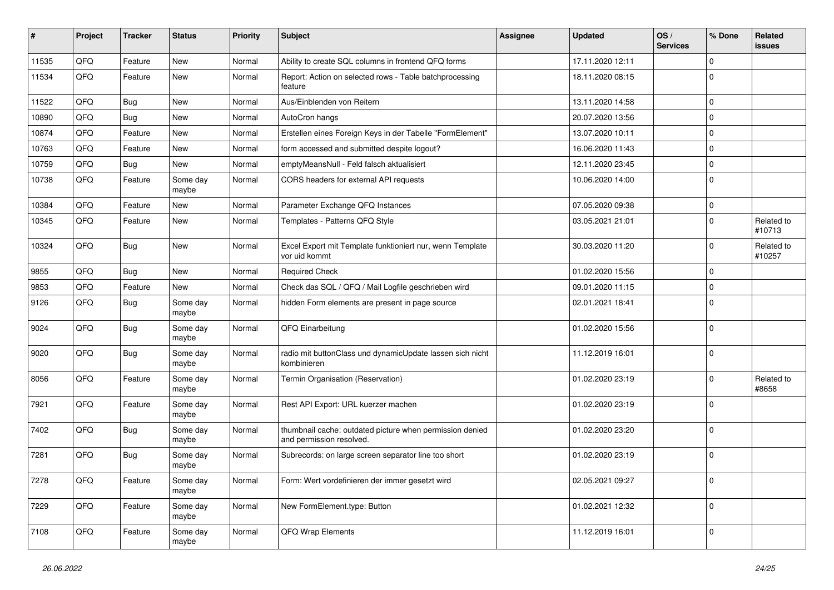| $\vert$ # | Project | <b>Tracker</b> | <b>Status</b>     | <b>Priority</b> | <b>Subject</b>                                                                       | <b>Assignee</b> | <b>Updated</b>   | OS/<br><b>Services</b> | % Done      | Related<br><b>issues</b> |
|-----------|---------|----------------|-------------------|-----------------|--------------------------------------------------------------------------------------|-----------------|------------------|------------------------|-------------|--------------------------|
| 11535     | QFQ     | Feature        | New               | Normal          | Ability to create SQL columns in frontend QFQ forms                                  |                 | 17.11.2020 12:11 |                        | $\mathbf 0$ |                          |
| 11534     | QFQ     | Feature        | New               | Normal          | Report: Action on selected rows - Table batchprocessing<br>feature                   |                 | 18.11.2020 08:15 |                        | $\mathbf 0$ |                          |
| 11522     | QFQ     | <b>Bug</b>     | <b>New</b>        | Normal          | Aus/Einblenden von Reitern                                                           |                 | 13.11.2020 14:58 |                        | $\mathbf 0$ |                          |
| 10890     | QFQ     | <b>Bug</b>     | New               | Normal          | AutoCron hangs                                                                       |                 | 20.07.2020 13:56 |                        | $\mathbf 0$ |                          |
| 10874     | QFQ     | Feature        | New               | Normal          | Erstellen eines Foreign Keys in der Tabelle "FormElement"                            |                 | 13.07.2020 10:11 |                        | $\mathbf 0$ |                          |
| 10763     | QFQ     | Feature        | New               | Normal          | form accessed and submitted despite logout?                                          |                 | 16.06.2020 11:43 |                        | $\mathbf 0$ |                          |
| 10759     | QFQ     | <b>Bug</b>     | New               | Normal          | emptyMeansNull - Feld falsch aktualisiert                                            |                 | 12.11.2020 23:45 |                        | $\mathbf 0$ |                          |
| 10738     | QFQ     | Feature        | Some day<br>maybe | Normal          | CORS headers for external API requests                                               |                 | 10.06.2020 14:00 |                        | $\mathbf 0$ |                          |
| 10384     | QFQ     | Feature        | New               | Normal          | Parameter Exchange QFQ Instances                                                     |                 | 07.05.2020 09:38 |                        | $\mathbf 0$ |                          |
| 10345     | QFQ     | Feature        | New               | Normal          | Templates - Patterns QFQ Style                                                       |                 | 03.05.2021 21:01 |                        | $\mathbf 0$ | Related to<br>#10713     |
| 10324     | QFQ     | <b>Bug</b>     | New               | Normal          | Excel Export mit Template funktioniert nur, wenn Template<br>vor uid kommt           |                 | 30.03.2020 11:20 |                        | $\mathbf 0$ | Related to<br>#10257     |
| 9855      | QFQ     | <b>Bug</b>     | New               | Normal          | <b>Required Check</b>                                                                |                 | 01.02.2020 15:56 |                        | $\mathbf 0$ |                          |
| 9853      | QFQ     | Feature        | New               | Normal          | Check das SQL / QFQ / Mail Logfile geschrieben wird                                  |                 | 09.01.2020 11:15 |                        | $\mathbf 0$ |                          |
| 9126      | QFQ     | Bug            | Some day<br>maybe | Normal          | hidden Form elements are present in page source                                      |                 | 02.01.2021 18:41 |                        | $\mathbf 0$ |                          |
| 9024      | QFQ     | <b>Bug</b>     | Some day<br>maybe | Normal          | QFQ Einarbeitung                                                                     |                 | 01.02.2020 15:56 |                        | $\mathbf 0$ |                          |
| 9020      | QFQ     | Bug            | Some day<br>maybe | Normal          | radio mit buttonClass und dynamicUpdate lassen sich nicht<br>kombinieren             |                 | 11.12.2019 16:01 |                        | $\mathbf 0$ |                          |
| 8056      | QFQ     | Feature        | Some day<br>maybe | Normal          | Termin Organisation (Reservation)                                                    |                 | 01.02.2020 23:19 |                        | $\Omega$    | Related to<br>#8658      |
| 7921      | QFQ     | Feature        | Some day<br>maybe | Normal          | Rest API Export: URL kuerzer machen                                                  |                 | 01.02.2020 23:19 |                        | $\mathbf 0$ |                          |
| 7402      | QFQ     | <b>Bug</b>     | Some day<br>maybe | Normal          | thumbnail cache: outdated picture when permission denied<br>and permission resolved. |                 | 01.02.2020 23:20 |                        | $\mathbf 0$ |                          |
| 7281      | QFQ     | <b>Bug</b>     | Some day<br>maybe | Normal          | Subrecords: on large screen separator line too short                                 |                 | 01.02.2020 23:19 |                        | $\mathbf 0$ |                          |
| 7278      | QFQ     | Feature        | Some day<br>maybe | Normal          | Form: Wert vordefinieren der immer gesetzt wird                                      |                 | 02.05.2021 09:27 |                        | $\mathbf 0$ |                          |
| 7229      | QFQ     | Feature        | Some day<br>maybe | Normal          | New FormElement.type: Button                                                         |                 | 01.02.2021 12:32 |                        | $\mathbf 0$ |                          |
| 7108      | QFG     | Feature        | Some day<br>maybe | Normal          | QFQ Wrap Elements                                                                    |                 | 11.12.2019 16:01 |                        | $\mathbf 0$ |                          |